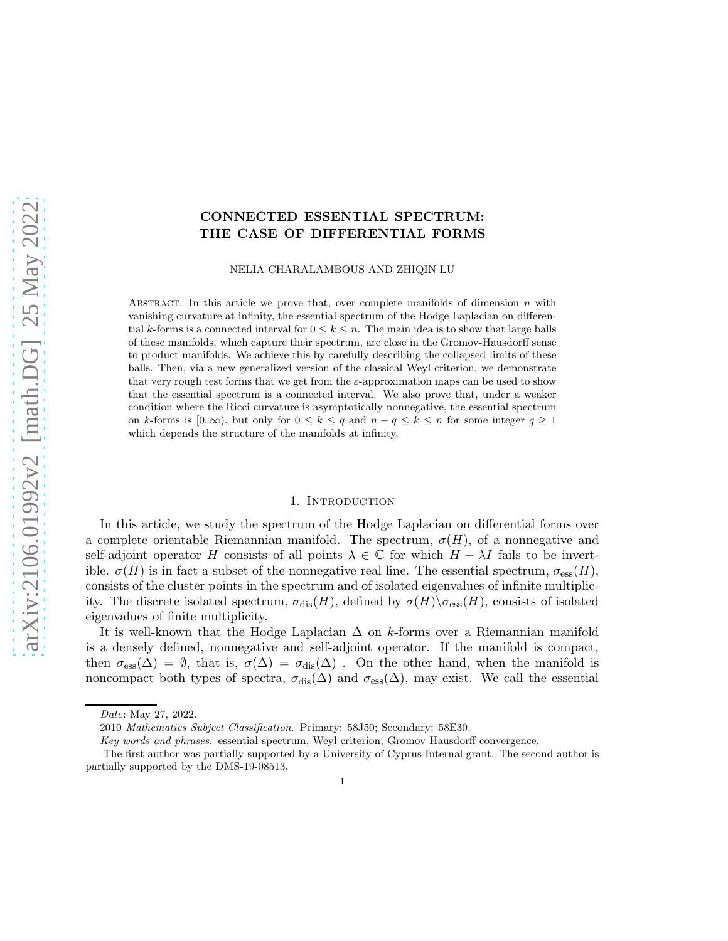# CONNECTED ESSENTIAL SPECTRUM: THE CASE OF DIFFERENTIAL FORMS

NELIA CHARALAMBOUS AND ZHIQIN LU

ABSTRACT. In this article we prove that, over complete manifolds of dimension n with vanishing curvature at infinity, the essential spectrum of the Hodge Laplacian on differential k-forms is a connected interval for  $0 \leq k \leq n$ . The main idea is to show that large balls of these manifolds, which capture their spectrum, are close in the Gromov-Hausdorff sense to product manifolds. We achieve this by carefully describing the collapsed limits of these balls. Then, via a new generalized version of the classical Weyl criterion, we demonstrate that very rough test forms that we get from the  $\varepsilon$ -approximation maps can be used to show that the essential spectrum is a connected interval. We also prove that, under a weaker condition where the Ricci curvature is asymptotically nonnegative, the essential spectrum on k-forms is  $[0, \infty)$ , but only for  $0 \le k \le q$  and  $n - q \le k \le n$  for some integer  $q \ge 1$ which depends the structure of the manifolds at infinity.

#### 1. INTRODUCTION

In this article, we study the spectrum of the Hodge Laplacian on differential forms over a complete orientable Riemannian manifold. The spectrum,  $\sigma(H)$ , of a nonnegative and self-adjoint operator H consists of all points  $\lambda \in \mathbb{C}$  for which  $H - \lambda I$  fails to be invertible.  $\sigma(H)$  is in fact a subset of the nonnegative real line. The essential spectrum,  $\sigma_{\text{ess}}(H)$ , consists of the cluster points in the spectrum and of isolated eigenvalues of infinite multiplicity. The discrete isolated spectrum,  $\sigma_{\text{dis}}(H)$ , defined by  $\sigma(H)\setminus \sigma_{\text{ess}}(H)$ , consists of isolated eigenvalues of finite multiplicity.

It is well-known that the Hodge Laplacian  $\Delta$  on k-forms over a Riemannian manifold is a densely defined, nonnegative and self-adjoint operator. If the manifold is compact, then  $\sigma_{\rm ess}(\Delta) = \emptyset$ , that is,  $\sigma(\Delta) = \sigma_{\rm dis}(\Delta)$ . On the other hand, when the manifold is noncompact both types of spectra,  $\sigma_{dis}(\Delta)$  and  $\sigma_{ess}(\Delta)$ , may exist. We call the essential

Date: May 27, 2022.

<sup>2010</sup> Mathematics Subject Classification. Primary: 58J50; Secondary: 58E30.

Key words and phrases. essential spectrum, Weyl criterion, Gromov Hausdorff convergence.

The first author was partially supported by a University of Cyprus Internal grant. The second author is partially supported by the DMS-19-08513.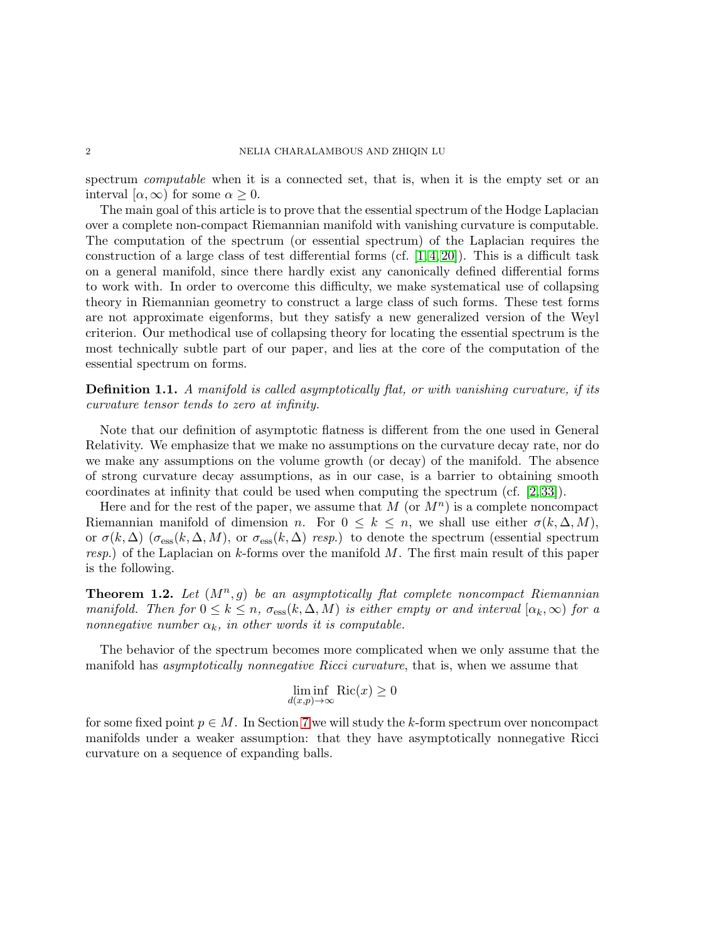spectrum *computable* when it is a connected set, that is, when it is the empty set or an interval  $[\alpha, \infty)$  for some  $\alpha \geq 0$ .

The main goal of this article is to prove that the essential spectrum of the Hodge Laplacian over a complete non-compact Riemannian manifold with vanishing curvature is computable. The computation of the spectrum (or essential spectrum) of the Laplacian requires the construction of a large class of test differential forms (cf.  $[1, 4, 20]$  $[1, 4, 20]$  $[1, 4, 20]$ ). This is a difficult task on a general manifold, since there hardly exist any canonically defined differential forms to work with. In order to overcome this difficulty, we make systematical use of collapsing theory in Riemannian geometry to construct a large class of such forms. These test forms are not approximate eigenforms, but they satisfy a new generalized version of the Weyl criterion. Our methodical use of collapsing theory for locating the essential spectrum is the most technically subtle part of our paper, and lies at the core of the computation of the essential spectrum on forms.

Definition 1.1. A manifold is called asymptotically flat, or with vanishing curvature, if its curvature tensor tends to zero at infinity.

Note that our definition of asymptotic flatness is different from the one used in General Relativity. We emphasize that we make no assumptions on the curvature decay rate, nor do we make any assumptions on the volume growth (or decay) of the manifold. The absence of strong curvature decay assumptions, as in our case, is a barrier to obtaining smooth coordinates at infinity that could be used when computing the spectrum (cf. [\[2,](#page-28-3) [33\]](#page-29-0)).

Here and for the rest of the paper, we assume that  $M$  (or  $M<sup>n</sup>$ ) is a complete noncompact Riemannian manifold of dimension n. For  $0 \leq k \leq n$ , we shall use either  $\sigma(k, \Delta, M)$ , or  $\sigma(k, \Delta)$  ( $\sigma_{\text{ess}}(k, \Delta, M)$ , or  $\sigma_{\text{ess}}(k, \Delta)$  resp.) to denote the spectrum (essential spectrum resp.) of the Laplacian on  $k$ -forms over the manifold M. The first main result of this paper is the following.

<span id="page-1-0"></span>**Theorem 1.2.** Let  $(M^n, g)$  be an asymptotically flat complete noncompact Riemannian manifold. Then for  $0 \leq k \leq n$ ,  $\sigma_{\text{ess}}(k, \Delta, M)$  is either empty or and interval  $[\alpha_k, \infty)$  for a nonnegative number  $\alpha_k$ , in other words it is computable.

The behavior of the spectrum becomes more complicated when we only assume that the manifold has asymptotically nonnegative Ricci curvature, that is, when we assume that

$$
\liminf_{d(x,p)\to\infty} \text{Ric}(x) \ge 0
$$

for some fixed point  $p \in M$ . In Section [7](#page-16-0) we will study the k-form spectrum over noncompact manifolds under a weaker assumption: that they have asymptotically nonnegative Ricci curvature on a sequence of expanding balls.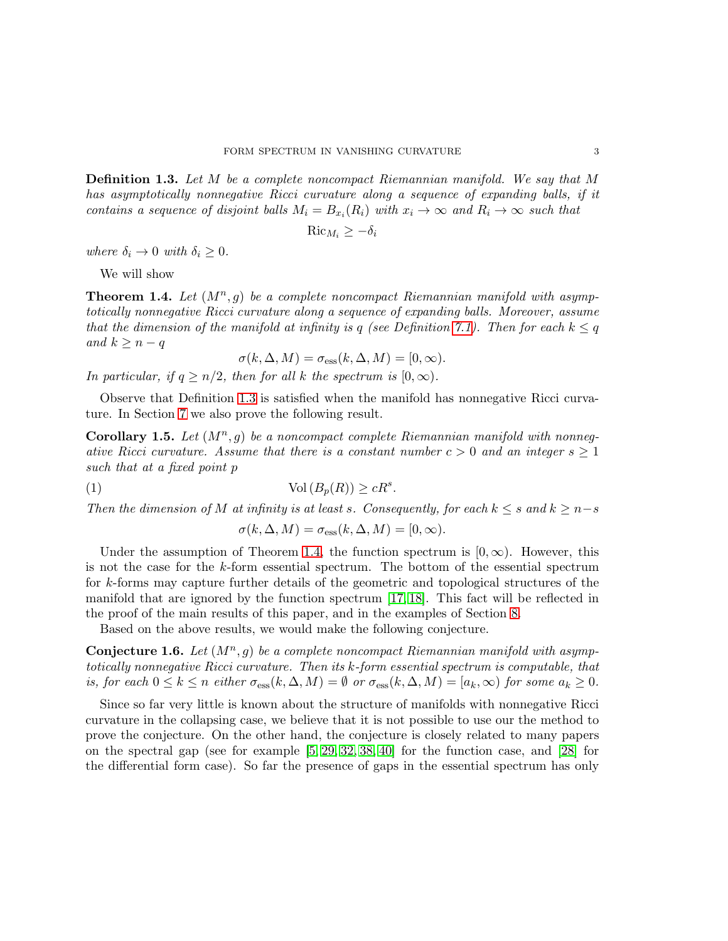<span id="page-2-0"></span>Definition 1.3. Let M be a complete noncompact Riemannian manifold. We say that M has asymptotically nonnegative Ricci curvature along a sequence of expanding balls, if it contains a sequence of disjoint balls  $M_i = B_{x_i}(R_i)$  with  $x_i \to \infty$  and  $R_i \to \infty$  such that

$$
\operatorname{Ric}_{M_i} \ge -\delta_i
$$

where  $\delta_i \to 0$  with  $\delta_i \geq 0$ .

We will show

<span id="page-2-1"></span>**Theorem 1.4.** Let  $(M^n, g)$  be a complete noncompact Riemannian manifold with asymptotically nonnegative Ricci curvature along a sequence of expanding balls. Moreover, assume that the dimension of the manifold at infinity is q (see Definition [7.1\)](#page-16-1). Then for each  $k \leq q$ and  $k \geq n - q$ 

$$
\sigma(k, \Delta, M) = \sigma_{\text{ess}}(k, \Delta, M) = [0, \infty).
$$

In particular, if  $q \geq n/2$ , then for all k the spectrum is  $[0,\infty)$ .

Observe that Definition [1.3](#page-2-0) is satisfied when the manifold has nonnegative Ricci curvature. In Section [7](#page-16-0) we also prove the following result.

<span id="page-2-3"></span>Corollary 1.5. Let  $(M^n, g)$  be a noncompact complete Riemannian manifold with nonnegative Ricci curvature. Assume that there is a constant number  $c > 0$  and an integer  $s \geq 1$ such that at a fixed point p

(1) 
$$
\operatorname{Vol}\left(B_p(R)\right) \ge cR^s.
$$

Then the dimension of M at infinity is at least s. Consequently, for each  $k \leq s$  and  $k \geq n-s$ 

<span id="page-2-4"></span>
$$
\sigma(k, \Delta, M) = \sigma_{\text{ess}}(k, \Delta, M) = [0, \infty).
$$

Under the assumption of Theorem [1.4,](#page-2-1) the function spectrum is  $[0, \infty)$ . However, this is not the case for the k-form essential spectrum. The bottom of the essential spectrum for k-forms may capture further details of the geometric and topological structures of the manifold that are ignored by the function spectrum [\[17,](#page-28-4) [18\]](#page-28-5). This fact will be reflected in the proof of the main results of this paper, and in the examples of Section [8.](#page-20-0)

Based on the above results, we would make the following conjecture.

<span id="page-2-2"></span>**Conjecture 1.6.** Let  $(M^n, g)$  be a complete noncompact Riemannian manifold with asymptotically nonnegative Ricci curvature. Then its k-form essential spectrum is computable, that is, for each  $0 \le k \le n$  either  $\sigma_{\text{ess}}(k, \Delta, M) = \emptyset$  or  $\sigma_{\text{ess}}(k, \Delta, M) = [a_k, \infty)$  for some  $a_k \ge 0$ .

Since so far very little is known about the structure of manifolds with nonnegative Ricci curvature in the collapsing case, we believe that it is not possible to use our the method to prove the conjecture. On the other hand, the conjecture is closely related to many papers on the spectral gap (see for example [\[5,](#page-28-6) [29,](#page-29-1) [32,](#page-29-2) [38,](#page-29-3) [40\]](#page-29-4) for the function case, and [\[28\]](#page-29-5) for the differential form case). So far the presence of gaps in the essential spectrum has only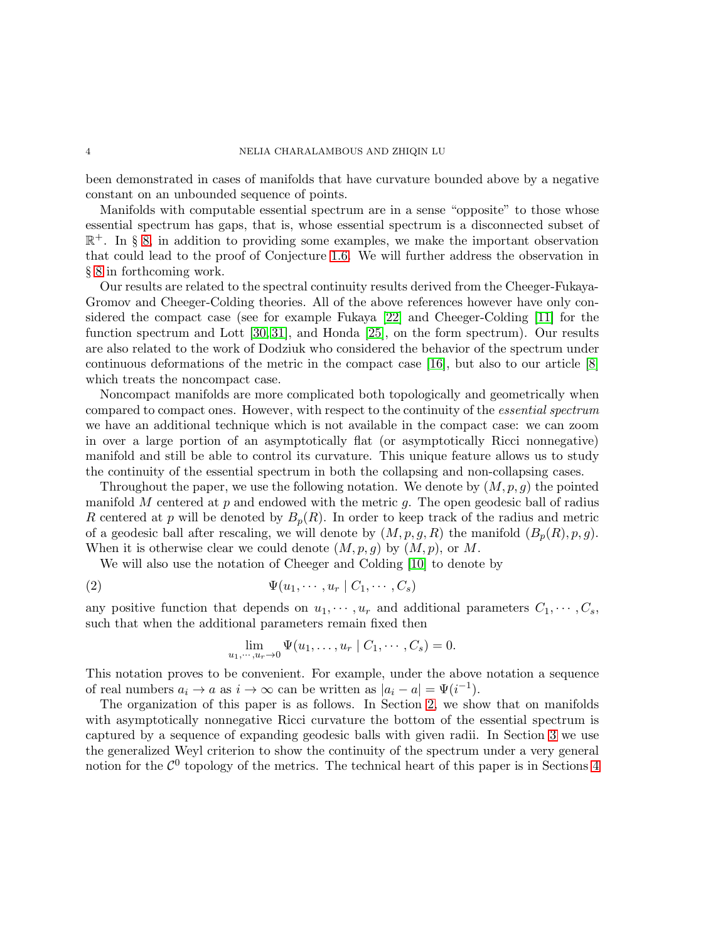been demonstrated in cases of manifolds that have curvature bounded above by a negative constant on an unbounded sequence of points.

Manifolds with computable essential spectrum are in a sense "opposite" to those whose essential spectrum has gaps, that is, whose essential spectrum is a disconnected subset of R <sup>+</sup>. In § [8,](#page-20-0) in addition to providing some examples, we make the important observation that could lead to the proof of Conjecture [1.6.](#page-2-2) We will further address the observation in § [8](#page-20-0) in forthcoming work.

Our results are related to the spectral continuity results derived from the Cheeger-Fukaya-Gromov and Cheeger-Colding theories. All of the above references however have only considered the compact case (see for example Fukaya [\[22\]](#page-29-6) and Cheeger-Colding [\[11\]](#page-28-7) for the function spectrum and Lott [\[30,](#page-29-7) [31\]](#page-29-8), and Honda [\[25\]](#page-29-9), on the form spectrum). Our results are also related to the work of Dodziuk who considered the behavior of the spectrum under continuous deformations of the metric in the compact case [\[16\]](#page-28-8), but also to our article [\[8\]](#page-28-9) which treats the noncompact case.

Noncompact manifolds are more complicated both topologically and geometrically when compared to compact ones. However, with respect to the continuity of the essential spectrum we have an additional technique which is not available in the compact case: we can zoom in over a large portion of an asymptotically flat (or asymptotically Ricci nonnegative) manifold and still be able to control its curvature. This unique feature allows us to study the continuity of the essential spectrum in both the collapsing and non-collapsing cases.

Throughout the paper, we use the following notation. We denote by  $(M, p, g)$  the pointed manifold  $M$  centered at  $p$  and endowed with the metric  $g$ . The open geodesic ball of radius R centered at p will be denoted by  $B_p(R)$ . In order to keep track of the radius and metric of a geodesic ball after rescaling, we will denote by  $(M, p, g, R)$  the manifold  $(B_p(R), p, g)$ . When it is otherwise clear we could denote  $(M, p, g)$  by  $(M, p)$ , or M.

We will also use the notation of Cheeger and Colding [\[10\]](#page-28-10) to denote by

$$
\Psi(u_1, \cdots, u_r \mid C_1, \cdots, C_s)
$$

any positive function that depends on  $u_1, \dots, u_r$  and additional parameters  $C_1, \dots, C_s$ , such that when the additional parameters remain fixed then

<span id="page-3-0"></span>
$$
\lim_{u_1,\dots,u_r\to 0}\Psi(u_1,\dots,u_r\mid C_1,\dots,C_s)=0.
$$

This notation proves to be convenient. For example, under the above notation a sequence of real numbers  $a_i \to a$  as  $i \to \infty$  can be written as  $|a_i - a| = \Psi(i^{-1}).$ 

The organization of this paper is as follows. In Section [2,](#page-4-0) we show that on manifolds with asymptotically nonnegative Ricci curvature the bottom of the essential spectrum is captured by a sequence of expanding geodesic balls with given radii. In Section [3](#page-6-0) we use the generalized Weyl criterion to show the continuity of the spectrum under a very general notion for the  $\mathcal{C}^0$  topology of the metrics. The technical heart of this paper is in Sections [4](#page-7-0)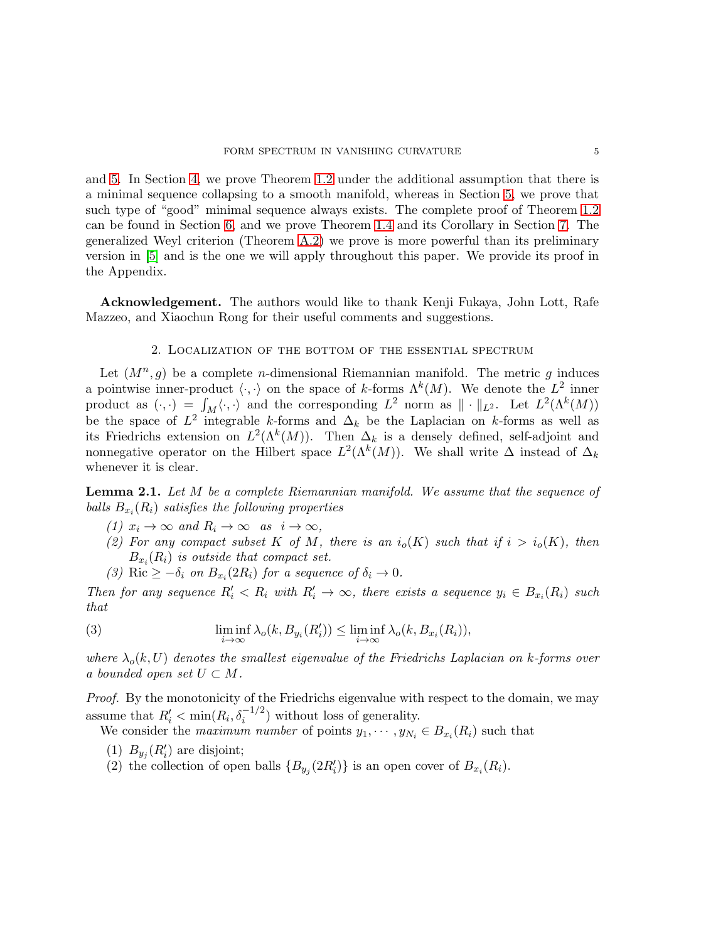and [5.](#page-10-0) In Section [4,](#page-7-0) we prove Theorem [1.2](#page-1-0) under the additional assumption that there is a minimal sequence collapsing to a smooth manifold, whereas in Section [5,](#page-10-0) we prove that such type of "good" minimal sequence always exists. The complete proof of Theorem [1.2](#page-1-0) can be found in Section [6,](#page-15-0) and we prove Theorem [1.4](#page-2-1) and its Corollary in Section [7.](#page-16-0) The generalized Weyl criterion (Theorem [A.2\)](#page-25-0) we prove is more powerful than its preliminary version in [\[5\]](#page-28-6) and is the one we will apply throughout this paper. We provide its proof in the Appendix.

<span id="page-4-0"></span>Acknowledgement. The authors would like to thank Kenji Fukaya, John Lott, Rafe Mazzeo, and Xiaochun Rong for their useful comments and suggestions.

#### 2. Localization of the bottom of the essential spectrum

Let  $(M^n, g)$  be a complete *n*-dimensional Riemannian manifold. The metric g induces a pointwise inner-product  $\langle \cdot, \cdot \rangle$  on the space of k-forms  $\Lambda^k(M)$ . We denote the  $L^2$  inner product as  $(\cdot, \cdot) = \int_M \langle \cdot, \cdot \rangle$  and the corresponding  $L^2$  norm as  $\|\cdot\|_{L^2}$ . Let  $L^2(\Lambda^k(M))$ be the space of  $L^2$  integrable k-forms and  $\Delta_k$  be the Laplacian on k-forms as well as its Friedrichs extension on  $L^2(\Lambda^k(M))$ . Then  $\Delta_k$  is a densely defined, self-adjoint and nonnegative operator on the Hilbert space  $L^2(\Lambda^k(M))$ . We shall write  $\Delta$  instead of  $\Delta_k$ whenever it is clear.

<span id="page-4-1"></span>**Lemma 2.1.** Let M be a complete Riemannian manifold. We assume that the sequence of balls  $B_{x_i}(R_i)$  satisfies the following properties

- (1)  $x_i \to \infty$  and  $R_i \to \infty$  as  $i \to \infty$ ,
- (2) For any compact subset K of M, there is an  $i_o(K)$  such that if  $i > i_o(K)$ , then  $B_{x_i}(R_i)$  is outside that compact set.
- <span id="page-4-2"></span>(3) Ric  $\geq -\delta_i$  on  $B_{x_i}(2R_i)$  for a sequence of  $\delta_i \to 0$ .

Then for any sequence  $R'_i < R_i$  with  $R'_i \to \infty$ , there exists a sequence  $y_i \in B_{x_i}(R_i)$  such that

(3) 
$$
\liminf_{i \to \infty} \lambda_o(k, B_{y_i}(R'_i)) \leq \liminf_{i \to \infty} \lambda_o(k, B_{x_i}(R_i)),
$$

where  $\lambda_o(k, U)$  denotes the smallest eigenvalue of the Friedrichs Laplacian on k-forms over a bounded open set  $U \subset M$ .

Proof. By the monotonicity of the Friedrichs eigenvalue with respect to the domain, we may assume that  $R'_i < \min(R_i, \delta_i^{-1/2})$  without loss of generality.

We consider the *maximum number* of points  $y_1, \dots, y_{N_i} \in B_{x_i}(R_i)$  such that

- (1)  $B_{y_j}(R'_i)$  are disjoint;
- (2) the collection of open balls  $\{B_{y_j}(2R'_i)\}\)$  is an open cover of  $B_{x_i}(R_i)$ .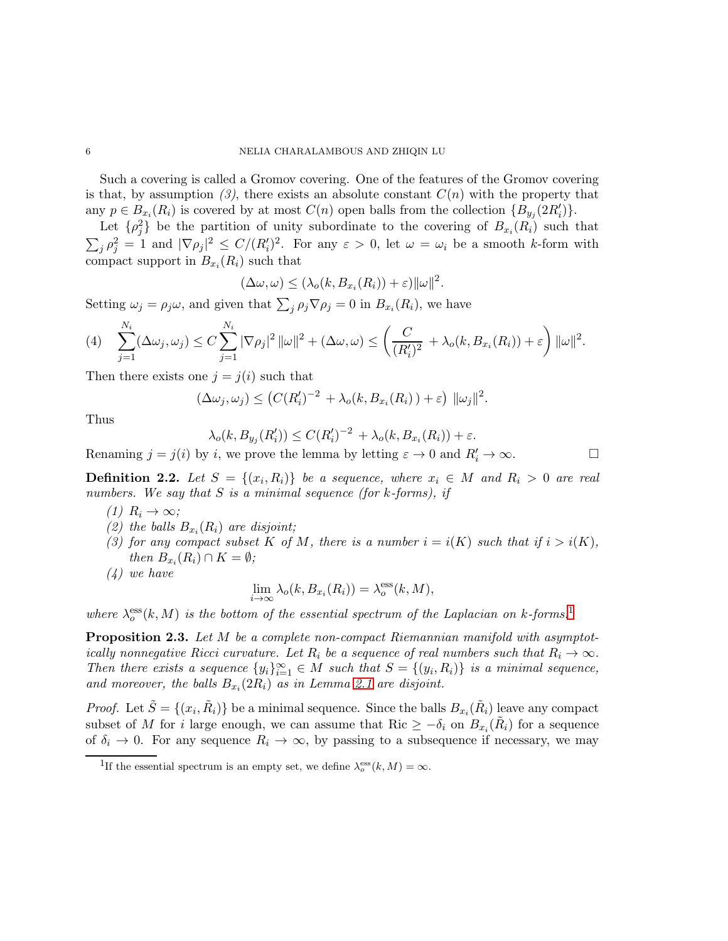Such a covering is called a Gromov covering. One of the features of the Gromov covering is that, by assumption  $(3)$ , there exists an absolute constant  $C(n)$  with the property that any  $p \in B_{x_i}(R_i)$  is covered by at most  $C(n)$  open balls from the collection  $\{B_{y_j}(2R'_i)\}.$ 

Let  $\{\rho_j^2\}$  be the partition of unity subordinate to the covering of  $B_{x_i}(R_i)$  such that  $\sum_j \rho_j^2 = 1$  and  $|\nabla \rho_j|^2 \le C/(R'_i)^2$ . For any  $\varepsilon > 0$ , let  $\omega = \omega_i$  be a smooth k-form with compact support in  $B_{x_i}(R_i)$  such that

$$
(\Delta\omega,\omega) \leq (\lambda_o(k, B_{x_i}(R_i)) + \varepsilon) ||\omega||^2.
$$

Setting  $\omega_j = \rho_j \omega$ , and given that  $\sum_j \rho_j \nabla \rho_j = 0$  in  $B_{x_i}(R_i)$ , we have

$$
(4) \quad \sum_{j=1}^{N_i} (\Delta \omega_j, \omega_j) \leq C \sum_{j=1}^{N_i} |\nabla \rho_j|^2 \, \|\omega\|^2 + (\Delta \omega, \omega) \leq \left(\frac{C}{(R_i')^2} + \lambda_o(k, B_{x_i}(R_i)) + \varepsilon\right) \|\omega\|^2.
$$

Then there exists one  $j = j(i)$  such that

$$
(\Delta \omega_j, \omega_j) \le (C(R'_i)^{-2} + \lambda_o(k, B_{x_i}(R_i)) + \varepsilon) \|\omega_j\|^2.
$$

Thus

$$
\lambda_o(k, B_{y_j}(R'_i)) \leq C(R'_i)^{-2} + \lambda_o(k, B_{x_i}(R_i)) + \varepsilon.
$$

Renaming  $j = j(i)$  by i, we prove the lemma by letting  $\varepsilon \to 0$  and  $R'_i \to \infty$ .

**Definition 2.2.** Let  $S = \{(x_i, R_i)\}\$  be a sequence, where  $x_i \in M$  and  $R_i > 0$  are real numbers. We say that  $S$  is a minimal sequence (for k-forms), if

- $(1)$   $R_i \rightarrow \infty;$
- (2) the balls  $B_{x_i}(R_i)$  are disjoint;
- (3) for any compact subset K of M, there is a number  $i = i(K)$  such that if  $i > i(K)$ , then  $B_{x_i}(R_i) \cap K = \emptyset$ ;
- (4) we have

$$
\lim_{i \to \infty} \lambda_o(k, B_{x_i}(R_i)) = \lambda_o^{\text{ess}}(k, M),
$$

where  $\lambda_0^{\text{ess}}(k,M)$  is the bottom of the essential spectrum of the Laplacian on k-forms.<sup>[1](#page-5-0)</sup>

<span id="page-5-1"></span>**Proposition 2.3.** Let M be a complete non-compact Riemannian manifold with asymptotically nonnegative Ricci curvature. Let  $R_i$  be a sequence of real numbers such that  $R_i \to \infty$ . Then there exists a sequence  $\{y_i\}_{i=1}^{\infty} \in M$  such that  $S = \{(y_i, R_i)\}\$ is a minimal sequence, and moreover, the balls  $B_{x_i}(2R_i)$  as in Lemma [2.1](#page-4-1) are disjoint.

*Proof.* Let  $\tilde{S} = \{(x_i, \tilde{R}_i)\}\$ be a minimal sequence. Since the balls  $B_{x_i}(\tilde{R}_i)$  leave any compact subset of M for i large enough, we can assume that Ric  $\geq -\delta_i$  on  $B_{x_i}(\tilde{R}_i)$  for a sequence of  $\delta_i \to 0$ . For any sequence  $R_i \to \infty$ , by passing to a subsequence if necessary, we may

<span id="page-5-0"></span><sup>&</sup>lt;sup>1</sup>If the essential spectrum is an empty set, we define  $\lambda_o^{\text{ess}}(k,M) = \infty$ .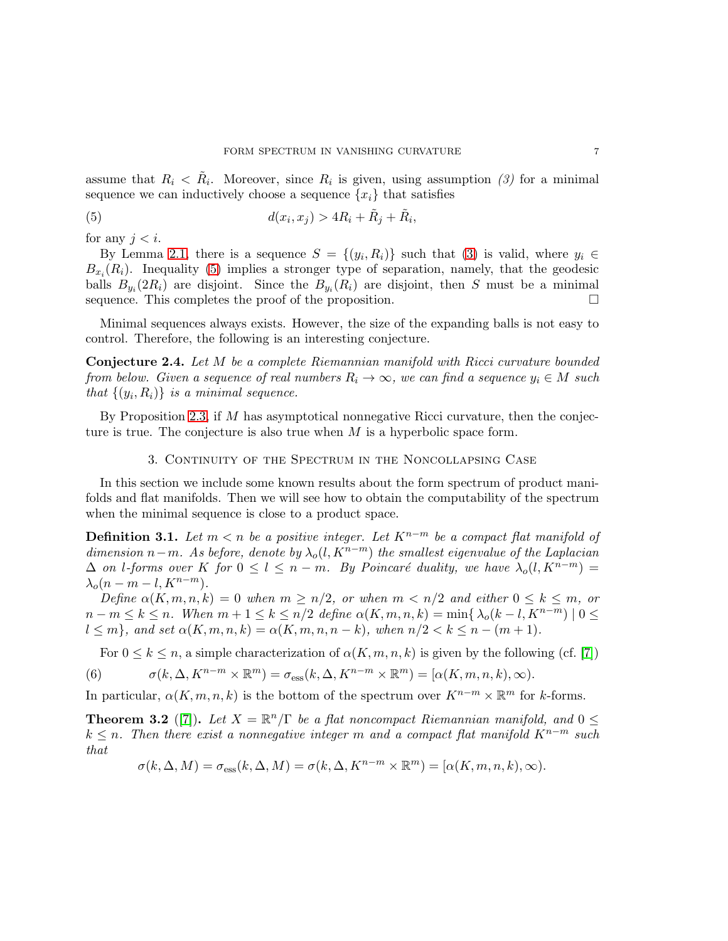assume that  $R_i \leq R_i$ . Moreover, since  $R_i$  is given, using assumption (3) for a minimal sequence we can inductively choose a sequence  $\{x_i\}$  that satisfies

<span id="page-6-1"></span>(5) 
$$
d(x_i, x_j) > 4R_i + \tilde{R}_j + \tilde{R}_i,
$$

for any  $j < i$ .

By Lemma [2.1,](#page-4-1) there is a sequence  $S = \{(y_i, R_i)\}\$  such that [\(3\)](#page-4-2) is valid, where  $y_i \in$  $B_{x_i}(R_i)$ . Inequality [\(5\)](#page-6-1) implies a stronger type of separation, namely, that the geodesic balls  $B_{y_i}(2R_i)$  are disjoint. Since the  $B_{y_i}(R_i)$  are disjoint, then S must be a minimal sequence. This completes the proof of the proposition.  $\Box$ 

Minimal sequences always exists. However, the size of the expanding balls is not easy to control. Therefore, the following is an interesting conjecture.

Conjecture 2.4. Let M be a complete Riemannian manifold with Ricci curvature bounded from below. Given a sequence of real numbers  $R_i \to \infty$ , we can find a sequence  $y_i \in M$  such that  $\{(y_i, R_i)\}\$ is a minimal sequence.

<span id="page-6-0"></span>By Proposition [2.3,](#page-5-1) if M has asymptotical nonnegative Ricci curvature, then the conjecture is true. The conjecture is also true when  $M$  is a hyperbolic space form.

#### 3. Continuity of the Spectrum in the Noncollapsing Case

In this section we include some known results about the form spectrum of product manifolds and flat manifolds. Then we will see how to obtain the computability of the spectrum when the minimal sequence is close to a product space.

<span id="page-6-2"></span>**Definition 3.1.** Let  $m < n$  be a positive integer. Let  $K^{n-m}$  be a compact flat manifold of dimension n−m. As before, denote by  $\lambda_o(l, K^{n-m})$  the smallest eigenvalue of the Laplacian  $\Delta$  on l-forms over K for  $0 \leq l \leq n-m$ . By Poincaré duality, we have  $\lambda_o(l, K^{n-m}) =$  $\lambda_o(n-m-l,K^{n-m}).$ 

Define  $\alpha(K, m, n, k) = 0$  when  $m \geq n/2$ , or when  $m < n/2$  and either  $0 \leq k \leq m$ , or  $n - m \le k \le n$ . When  $m + 1 \le k \le n/2$  define  $\alpha(K, m, n, k) = \min\{\lambda_o(k - l, K^{n-m}) \mid 0 \le k \le n\}$  $l \leq m$ , and set  $\alpha(K, m, n, k) = \alpha(K, m, n, n - k)$ , when  $n/2 < k \leq n - (m + 1)$ .

For  $0 \leq k \leq n$ , a simple characterization of  $\alpha(K, m, n, k)$  is given by the following (cf. [\[7\]](#page-28-11))

(6) 
$$
\sigma(k, \Delta, K^{n-m} \times \mathbb{R}^m) = \sigma_{\text{ess}}(k, \Delta, K^{n-m} \times \mathbb{R}^m) = [\alpha(K, m, n, k), \infty).
$$

In particular,  $\alpha(K, m, n, k)$  is the bottom of the spectrum over  $K^{n-m} \times \mathbb{R}^m$  for k-forms.

<span id="page-6-3"></span>**Theorem 3.2** ([\[7\]](#page-28-11)). Let  $X = \mathbb{R}^n/\Gamma$  be a flat noncompact Riemannian manifold, and  $0 \leq$  $k \leq n$ . Then there exist a nonnegative integer m and a compact flat manifold  $K^{n-m}$  such that

$$
\sigma(k, \Delta, M) = \sigma_{\text{ess}}(k, \Delta, M) = \sigma(k, \Delta, K^{n-m} \times \mathbb{R}^m) = [\alpha(K, m, n, k), \infty).
$$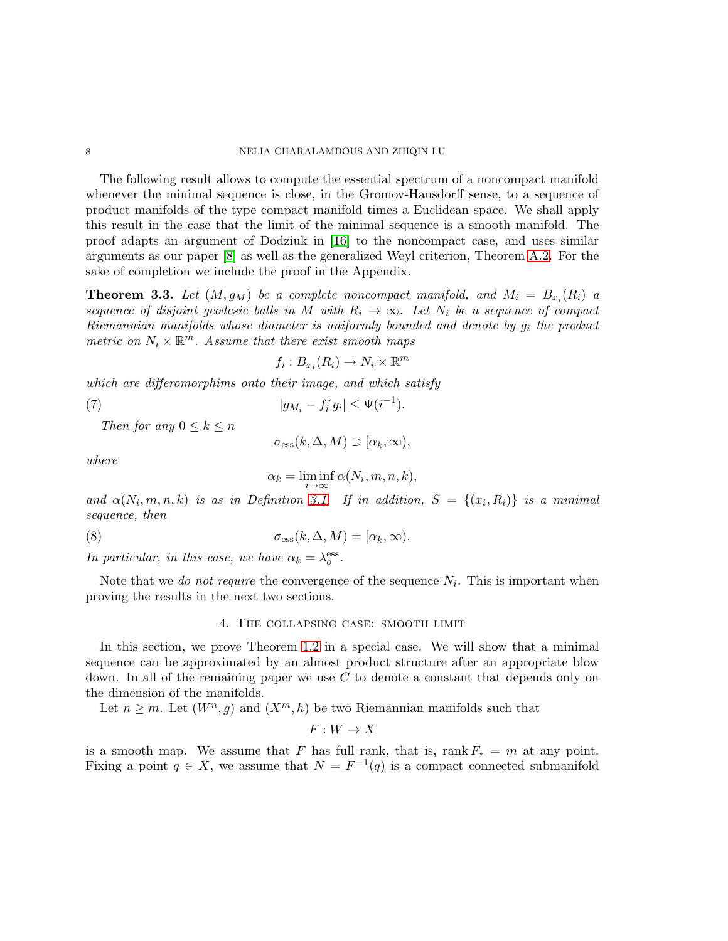The following result allows to compute the essential spectrum of a noncompact manifold whenever the minimal sequence is close, in the Gromov-Hausdorff sense, to a sequence of product manifolds of the type compact manifold times a Euclidean space. We shall apply this result in the case that the limit of the minimal sequence is a smooth manifold. The proof adapts an argument of Dodziuk in [\[16\]](#page-28-8) to the noncompact case, and uses similar arguments as our paper [\[8\]](#page-28-9) as well as the generalized Weyl criterion, Theorem [A.2.](#page-25-0) For the sake of completion we include the proof in the Appendix.

<span id="page-7-1"></span>**Theorem 3.3.** Let  $(M, g_M)$  be a complete noncompact manifold, and  $M_i = B_{x_i}(R_i)$  a sequence of disjoint geodesic balls in M with  $R_i \rightarrow \infty$ . Let  $N_i$  be a sequence of compact Riemannian manifolds whose diameter is uniformly bounded and denote by  $g_i$  the product metric on  $N_i \times \mathbb{R}^m$ . Assume that there exist smooth maps

$$
f_i: B_{x_i}(R_i) \to N_i \times \mathbb{R}^m
$$

which are differomorphims onto their image, and which satisfy

(7) 
$$
|g_{M_i} - f_i^* g_i| \leq \Psi(i^{-1}).
$$

Then for any  $0 \leq k \leq n$ 

<span id="page-7-2"></span>
$$
\sigma_{\rm ess}(k,\Delta,M) \supset [\alpha_k,\infty),
$$

where

<span id="page-7-3"></span>
$$
\alpha_k = \liminf_{i \to \infty} \alpha(N_i, m, n, k),
$$

and  $\alpha(N_i, m, n, k)$  is as in Definition [3.1.](#page-6-2) If in addition,  $S = \{(x_i, R_i)\}\$ is a minimal sequence, then

(8) 
$$
\sigma_{\rm ess}(k,\Delta,M) = [\alpha_k,\infty).
$$

In particular, in this case, we have  $\alpha_k = \lambda_o^{\text{ess}}$ .

<span id="page-7-0"></span>Note that we *do not require* the convergence of the sequence  $N_i$ . This is important when proving the results in the next two sections.

### 4. The collapsing case: smooth limit

In this section, we prove Theorem [1.2](#page-1-0) in a special case. We will show that a minimal sequence can be approximated by an almost product structure after an appropriate blow down. In all of the remaining paper we use  $C$  to denote a constant that depends only on the dimension of the manifolds.

Let  $n \geq m$ . Let  $(W^n, g)$  and  $(X^m, h)$  be two Riemannian manifolds such that

$$
F:W\to X
$$

is a smooth map. We assume that F has full rank, that is, rank  $F_* = m$  at any point. Fixing a point  $q \in X$ , we assume that  $N = F^{-1}(q)$  is a compact connected submanifold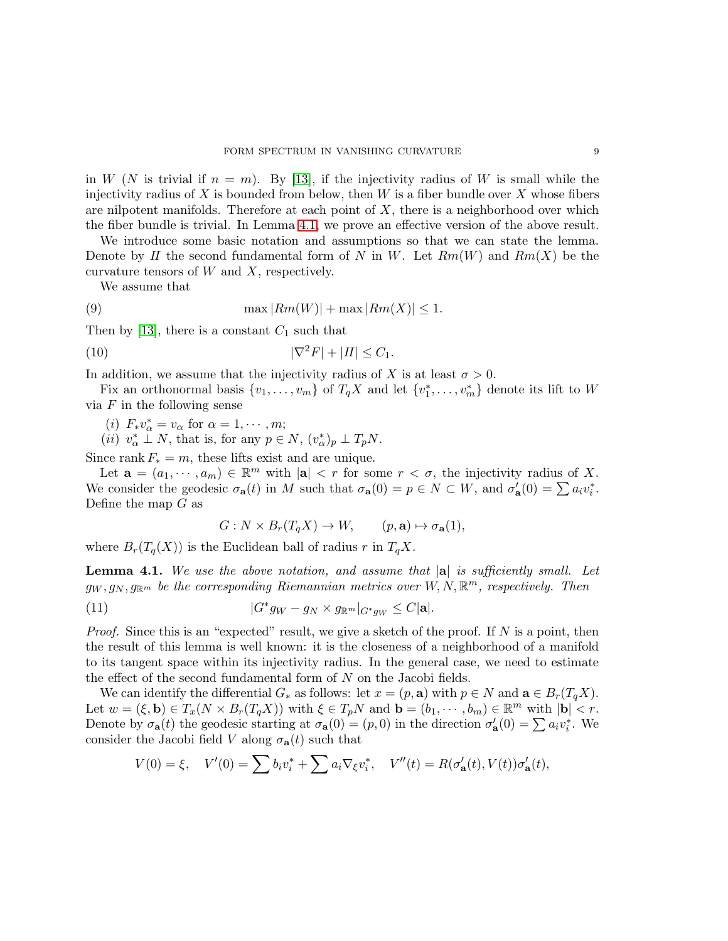in W (N is trivial if  $n = m$ ). By [\[13\]](#page-28-12), if the injectivity radius of W is small while the injectivity radius of X is bounded from below, then  $W$  is a fiber bundle over X whose fibers are nilpotent manifolds. Therefore at each point of  $X$ , there is a neighborhood over which the fiber bundle is trivial. In Lemma [4.1,](#page-8-0) we prove an effective version of the above result.

We introduce some basic notation and assumptions so that we can state the lemma. Denote by II the second fundamental form of N in W. Let  $Rm(W)$  and  $Rm(X)$  be the curvature tensors of  $W$  and  $X$ , respectively.

<span id="page-8-1"></span>We assume that

(9) 
$$
\max |Rm(W)| + \max |Rm(X)| \leq 1.
$$

Then by [\[13\]](#page-28-12), there is a constant  $C_1$  such that

$$
|\nabla^2 F| + |II| \le C_1.
$$

In addition, we assume that the injectivity radius of X is at least  $\sigma > 0$ .

Fix an orthonormal basis  $\{v_1, \ldots, v_m\}$  of  $T_qX$  and let  $\{v_1^*, \ldots, v_m^*\}$  denote its lift to W via  $F$  in the following sense

(i) 
$$
F_* v^*_{\alpha} = v_{\alpha}
$$
 for  $\alpha = 1, \cdots, m$ ;

(*ii*)  $v_{\alpha}^* \perp N$ , that is, for any  $p \in N$ ,  $(v_{\alpha}^*)_p \perp T_p N$ .

Since rank  $F_* = m$ , these lifts exist and are unique.

Let  $\mathbf{a} = (a_1, \dots, a_m) \in \mathbb{R}^m$  with  $|\mathbf{a}| < r$  for some  $r < \sigma$ , the injectivity radius of X. We consider the geodesic  $\sigma_{\mathbf{a}}(t)$  in M such that  $\sigma_{\mathbf{a}}(0) = p \in N \subset W$ , and  $\sigma'_{\mathbf{a}}(0) = \sum a_i v_i^*$ . Define the map  $G$  as

<span id="page-8-3"></span><span id="page-8-2"></span>
$$
G: N \times B_r(T_q X) \to W, \qquad (p, \mathbf{a}) \mapsto \sigma_{\mathbf{a}}(1),
$$

where  $B_r(T_q(X))$  is the Euclidean ball of radius r in  $T_qX$ .

<span id="page-8-0"></span>**Lemma 4.1.** We use the above notation, and assume that  $|a|$  is sufficiently small. Let  $g_W, g_N, g_{\mathbb{R}^m}$  be the corresponding Riemannian metrics over  $W, N, \mathbb{R}^m$ , respectively. Then

(11) 
$$
|G^*g_W - g_N \times g_{\mathbb{R}^m}|_{G^*g_W} \leq C |\mathbf{a}|.
$$

*Proof.* Since this is an "expected" result, we give a sketch of the proof. If  $N$  is a point, then the result of this lemma is well known: it is the closeness of a neighborhood of a manifold to its tangent space within its injectivity radius. In the general case, we need to estimate the effect of the second fundamental form of N on the Jacobi fields.

We can identify the differential  $G_*$  as follows: let  $x = (p, \mathbf{a})$  with  $p \in N$  and  $\mathbf{a} \in B_r(T_qX)$ . Let  $w = (\xi, \mathbf{b}) \in T_x(N \times B_r(T_qX))$  with  $\xi \in T_pN$  and  $\mathbf{b} = (b_1, \dots, b_m) \in \mathbb{R}^m$  with  $|\mathbf{b}| < r$ . Denote by  $\sigma_{\bf a}(t)$  the geodesic starting at  $\sigma_{\bf a}(0) = (p, 0)$  in the direction  $\sigma'_{\bf a}(0) = \sum a_i v_i^*$ . We consider the Jacobi field V along  $\sigma_{a}(t)$  such that

$$
V(0) = \xi, \quad V'(0) = \sum b_i v_i^* + \sum a_i \nabla_{\xi} v_i^*, \quad V''(t) = R(\sigma'_{\mathbf{a}}(t), V(t)) \sigma'_{\mathbf{a}}(t),
$$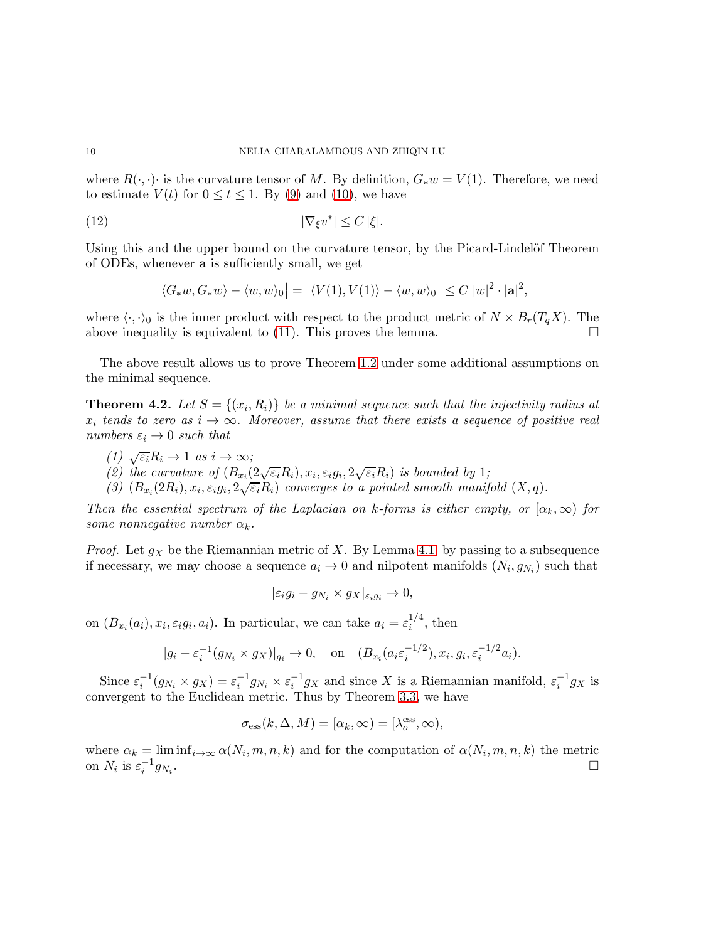where  $R(\cdot, \cdot)$  is the curvature tensor of M. By definition,  $G_*w = V(1)$ . Therefore, we need to estimate  $V(t)$  for  $0 \le t \le 1$ . By [\(9\)](#page-8-1) and [\(10\)](#page-8-2), we have

$$
|\nabla_{\xi}v^*| \le C |\xi|.
$$

Using this and the upper bound on the curvature tensor, by the Picard-Lindelöf Theorem of ODEs, whenever a is sufficiently small, we get

$$
|\langle G_*w, G_*w\rangle - \langle w, w\rangle_0| = |\langle V(1), V(1)\rangle - \langle w, w\rangle_0| \le C |w|^2 \cdot |\mathbf{a}|^2,
$$

where  $\langle \cdot, \cdot \rangle_0$  is the inner product with respect to the product metric of  $N \times B_r(T_qX)$ . The above inequality is equivalent to (11). This proves the lemma. above inequality is equivalent to [\(11\)](#page-8-3). This proves the lemma.

The above result allows us to prove Theorem [1.2](#page-1-0) under some additional assumptions on the minimal sequence.

<span id="page-9-0"></span>**Theorem 4.2.** Let  $S = \{(x_i, R_i)\}\)$  be a minimal sequence such that the injectivity radius at  $x_i$  tends to zero as  $i \to \infty$ . Moreover, assume that there exists a sequence of positive real numbers  $\varepsilon_i \to 0$  such that

- (1)  $\sqrt{\varepsilon_i}R_i \to 1$  as  $i \to \infty$ ;
- (2) the curvature of  $(B_{x_i}(2\sqrt{\varepsilon_i}R_i), x_i, \varepsilon_i g_i, 2\sqrt{\varepsilon_i}R_i)$  is bounded by 1;
- (3)  $(B_{x_i}(2R_i), x_i, \varepsilon_i g_i, 2\sqrt{\varepsilon_i}R_i)$  converges to a pointed smooth manifold  $(X, q)$ .

Then the essential spectrum of the Laplacian on k-forms is either empty, or  $[\alpha_k,\infty)$  for some nonnegative number  $\alpha_k$ .

*Proof.* Let  $g_X$  be the Riemannian metric of X. By Lemma [4.1,](#page-8-0) by passing to a subsequence if necessary, we may choose a sequence  $a_i \to 0$  and nilpotent manifolds  $(N_i, g_{N_i})$  such that

$$
|\varepsilon_i g_i - g_{N_i} \times g_X|_{\varepsilon_i g_i} \to 0,
$$

on  $(B_{x_i}(a_i), x_i, \varepsilon_i g_i, a_i)$ . In particular, we can take  $a_i = \varepsilon_i^{1/4}$  $i^{1/4}$ , then

$$
|g_i - \varepsilon_i^{-1}(g_{N_i} \times g_X)|_{g_i} \to 0
$$
, on  $(B_{x_i}(a_i \varepsilon_i^{-1/2}), x_i, g_i, \varepsilon_i^{-1/2} a_i)$ .

Since  $\varepsilon_i^{-1}(g_{N_i} \times g_X) = \varepsilon_i^{-1} g_{N_i} \times \varepsilon_i^{-1} g_X$  and since X is a Riemannian manifold,  $\varepsilon_i^{-1} g_X$  is convergent to the Euclidean metric. Thus by Theorem [3.3,](#page-7-1) we have

$$
\sigma_{\rm ess}(k,\Delta,M) = [\alpha_k,\infty) = [\lambda_o^{\rm ess},\infty),
$$

where  $\alpha_k = \liminf_{i \to \infty} \alpha(N_i, m, n, k)$  and for the computation of  $\alpha(N_i, m, n, k)$  the metric on  $N_i$  is  $\varepsilon_i^{-1} g_{N_i}$ .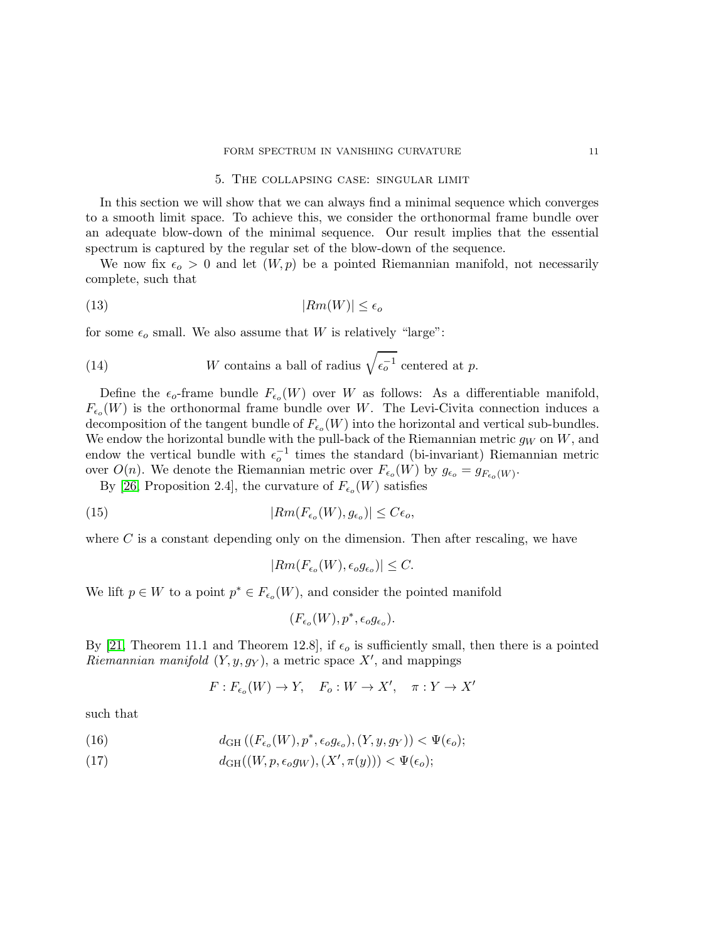### <span id="page-10-3"></span>5. The collapsing case: singular limit

<span id="page-10-0"></span>In this section we will show that we can always find a minimal sequence which converges to a smooth limit space. To achieve this, we consider the orthonormal frame bundle over an adequate blow-down of the minimal sequence. Our result implies that the essential spectrum is captured by the regular set of the blow-down of the sequence.

We now fix  $\epsilon_{\rho} > 0$  and let  $(W, p)$  be a pointed Riemannian manifold, not necessarily complete, such that

$$
(13)\t\t\t\t |Rm(W)| \le \epsilon_o
$$

for some  $\epsilon_o$  small. We also assume that W is relatively "large":

<span id="page-10-4"></span>(14) *W* contains a ball of radius 
$$
\sqrt{\epsilon_o^{-1}}
$$
 centered at *p*.

Define the  $\epsilon_o$ -frame bundle  $F_{\epsilon_o}(W)$  over W as follows: As a differentiable manifold,  $F_{\epsilon_o}(W)$  is the orthonormal frame bundle over W. The Levi-Civita connection induces a decomposition of the tangent bundle of  $F_{\epsilon_o}(W)$  into the horizontal and vertical sub-bundles. We endow the horizontal bundle with the pull-back of the Riemannian metric  $g_W$  on  $W$ , and endow the vertical bundle with  $\epsilon_o^{-1}$  times the standard (bi-invariant) Riemannian metric over  $O(n)$ . We denote the Riemannian metric over  $F_{\epsilon_o}(W)$  by  $g_{\epsilon_o} = g_{F_{\epsilon_o}(W)}$ .

By [\[26,](#page-29-10) Proposition 2.4], the curvature of  $F_{\epsilon_o}(W)$  satisfies

(15) 
$$
|Rm(F_{\epsilon_o}(W), g_{\epsilon_o})| \le C\epsilon_o,
$$

where  $C$  is a constant depending only on the dimension. Then after rescaling, we have

<span id="page-10-1"></span>
$$
|Rm(F_{\epsilon_o}(W), \epsilon_o g_{\epsilon_o})| \leq C.
$$

We lift  $p \in W$  to a point  $p^* \in F_{\epsilon_o}(W)$ , and consider the pointed manifold

$$
(F_{\epsilon_o}(W), p^*, \epsilon_o g_{\epsilon_o}).
$$

By [\[21,](#page-29-11) Theorem 11.1 and Theorem 12.8], if  $\epsilon_o$  is sufficiently small, then there is a pointed Riemannian manifold  $(Y, y, g_Y)$ , a metric space X', and mappings

$$
F: F_{\epsilon_o}(W) \to Y, \quad F_o: W \to X', \quad \pi: Y \to X'
$$

such that

<span id="page-10-2"></span>(16) 
$$
d_{GH}((F_{\epsilon_o}(W), p^*, \epsilon_o g_{\epsilon_o}), (Y, y, g_Y)) < \Psi(\epsilon_o);
$$

(17)  $d_{GH}((W, p, \epsilon_o g_W), (X', \pi(y))) < \Psi(\epsilon_o);$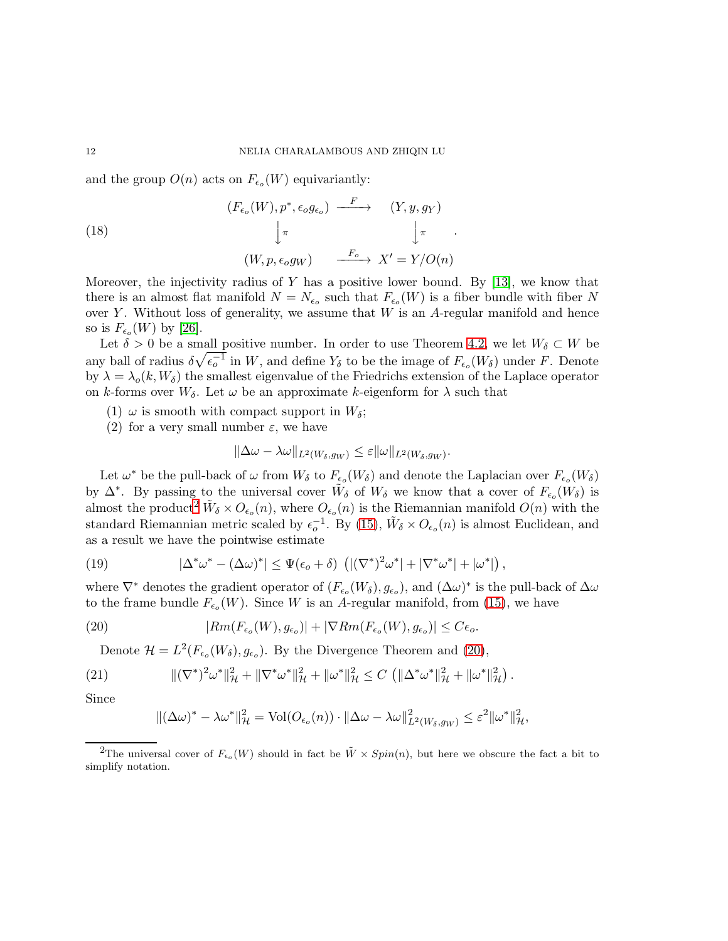and the group  $O(n)$  acts on  $F_{\epsilon_o}(W)$  equivariantly:

<span id="page-11-4"></span>(18)  
\n
$$
\begin{array}{ccc}\n(T_{\epsilon_o}(W), p^*, \epsilon_o g_{\epsilon_o}) & \xrightarrow{F} & (Y, y, g_Y) \\
\downarrow^{\pi} & & \downarrow^{\pi} & \cdot \\
(W, p, \epsilon_o g_W) & \xrightarrow{F_o} & X' = Y/O(n)\n\end{array}
$$

Moreover, the injectivity radius of Y has a positive lower bound. By  $[13]$ , we know that there is an almost flat manifold  $N = N_{\epsilon_o}$  such that  $F_{\epsilon_o}(W)$  is a fiber bundle with fiber N over Y. Without loss of generality, we assume that  $W$  is an A-regular manifold and hence so is  $F_{\epsilon_o}(W)$  by [\[26\]](#page-29-10).

Let  $\delta > 0$  be a small positive number. In order to use Theorem [4.2,](#page-9-0) we let  $W_{\delta} \subset W$  be any ball of radius  $\delta\sqrt{\epsilon_o^{-1}}$  in W, and define  $Y_\delta$  to be the image of  $F_{\epsilon_o}(W_\delta)$  under F. Denote by  $\lambda = \lambda_o(k, W_\delta)$  the smallest eigenvalue of the Friedrichs extension of the Laplace operator on k-forms over  $W_{\delta}$ . Let  $\omega$  be an approximate k-eigenform for  $\lambda$  such that

- (1)  $\omega$  is smooth with compact support in  $W_{\delta}$ ;
- (2) for a very small number  $\varepsilon$ , we have

$$
\|\Delta\omega - \lambda\omega\|_{L^2(W_\delta, g_W)} \leq \varepsilon \|\omega\|_{L^2(W_\delta, g_W)}.
$$

Let  $\omega^*$  be the pull-back of  $\omega$  from  $W_\delta$  to  $F_{\epsilon_o}(W_\delta)$  and denote the Laplacian over  $F_{\epsilon_o}(W_\delta)$ by  $\Delta^*$ . By passing to the universal cover  $\tilde{W}_\delta$  of  $W_\delta$  we know that a cover of  $F_{\epsilon_o}(W_\delta)$  is almost the product<sup>[2](#page-11-0)</sup>  $\tilde{W}_{\delta} \times O_{\epsilon_o}(n)$ , where  $O_{\epsilon_o}(n)$  is the Riemannian manifold  $O(n)$  with the standard Riemannian metric scaled by  $\epsilon_o^{-1}$ . By [\(15\)](#page-10-1),  $\tilde{W}_\delta \times O_{\epsilon_o}(n)$  is almost Euclidean, and as a result we have the pointwise estimate

<span id="page-11-2"></span>(19) 
$$
|\Delta^* \omega^* - (\Delta \omega)^*| \leq \Psi(\epsilon_o + \delta) \left( |(\nabla^*)^2 \omega^*| + |\nabla^* \omega^*| + |\omega^*| \right),
$$

where  $\nabla^*$  denotes the gradient operator of  $(F_{\epsilon_o}(W_{\delta}), g_{\epsilon_o})$ , and  $(\Delta \omega)^*$  is the pull-back of  $\Delta \omega$ to the frame bundle  $F_{\epsilon_o}(W)$ . Since W is an A-regular manifold, from [\(15\)](#page-10-1), we have

(20) 
$$
|Rm(F_{\epsilon_o}(W), g_{\epsilon_o})| + |\nabla Rm(F_{\epsilon_o}(W), g_{\epsilon_o})| \leq C\epsilon_o.
$$

Denote  $\mathcal{H} = L^2(F_{\epsilon_0}(W_{\delta}), g_{\epsilon_0})$ . By the Divergence Theorem and [\(20\)](#page-11-1),

(21) 
$$
\|(\nabla^*)^2 \omega^*\|_{\mathcal{H}}^2 + \|\nabla^* \omega^*\|_{\mathcal{H}}^2 + \|\omega^*\|_{\mathcal{H}}^2 \leq C \left( \|\Delta^* \omega^*\|_{\mathcal{H}}^2 + \|\omega^*\|_{\mathcal{H}}^2 \right).
$$

Since

<span id="page-11-3"></span><span id="page-11-1"></span>
$$
\|(\Delta\omega)^* - \lambda\omega^*\|_{\mathcal{H}}^2 = \text{Vol}(O_{\epsilon_o}(n)) \cdot \|\Delta\omega - \lambda\omega\|_{L^2(W_{\delta}, g_W)}^2 \leq \varepsilon^2 \|\omega^*\|_{\mathcal{H}}^2,
$$

<span id="page-11-0"></span><sup>&</sup>lt;sup>2</sup>The universal cover of  $F_{\epsilon_o}(W)$  should in fact be  $\tilde{W} \times Spin(n)$ , but here we obscure the fact a bit to simplify notation.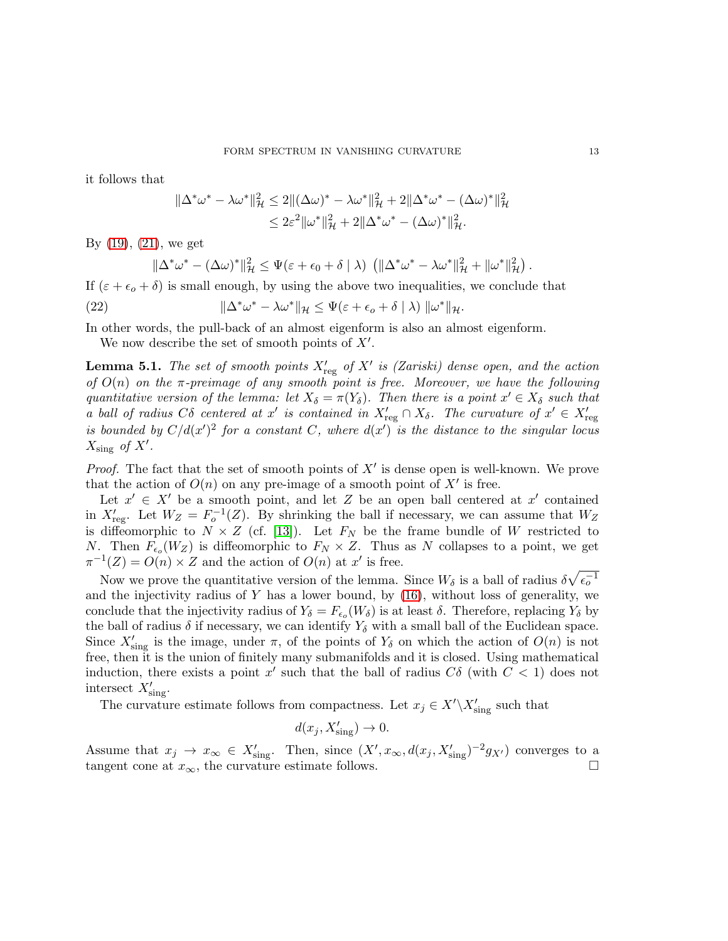it follows that

$$
\|\Delta^* \omega^* - \lambda \omega^*\|_{\mathcal{H}}^2 \le 2\|(\Delta \omega)^* - \lambda \omega^*\|_{\mathcal{H}}^2 + 2\|\Delta^* \omega^* - (\Delta \omega)^*\|_{\mathcal{H}}^2
$$
  

$$
\le 2\varepsilon^2 \|\omega^*\|_{\mathcal{H}}^2 + 2\|\Delta^* \omega^* - (\Delta \omega)^*\|_{\mathcal{H}}^2.
$$

By [\(19\)](#page-11-2), [\(21\)](#page-11-3), we get

<span id="page-12-1"></span>
$$
\|\Delta^*\omega^*-(\Delta\omega)^*\|_{\mathcal{H}}^2\leq \Psi(\varepsilon+\epsilon_0+\delta\mid\lambda)\,\left(\|\Delta^*\omega^*-\lambda\omega^*\|_{\mathcal{H}}^2+\|\omega^*\|_{\mathcal{H}}^2\right).
$$

If  $(\varepsilon + \varepsilon_o + \delta)$  is small enough, by using the above two inequalities, we conclude that

(22) 
$$
\|\Delta^*\omega^* - \lambda\omega^*\|_{\mathcal{H}} \leq \Psi(\varepsilon + \epsilon_o + \delta \mid \lambda) \| \omega^*\|_{\mathcal{H}}.
$$

In other words, the pull-back of an almost eigenform is also an almost eigenform.

We now describe the set of smooth points of  $X'$ .

<span id="page-12-0"></span>**Lemma 5.1.** The set of smooth points  $X'_{\text{reg}}$  of  $X'$  is (Zariski) dense open, and the action of  $O(n)$  on the  $\pi$ -preimage of any smooth point is free. Moreover, we have the following quantitative version of the lemma: let  $X_{\delta} = \pi(Y_{\delta})$ . Then there is a point  $x' \in X_{\delta}$  such that a ball of radius C $\delta$  centered at x' is contained in  $X'_{reg} \cap X_{\delta}$ . The curvature of  $x' \in X'_{reg}$ is bounded by  $C/d(x')^2$  for a constant C, where  $d(x')$  is the distance to the singular locus  $X_{\text{sing}}$  of  $X'$ .

*Proof.* The fact that the set of smooth points of  $X'$  is dense open is well-known. We prove that the action of  $O(n)$  on any pre-image of a smooth point of  $X'$  is free.

Let  $x' \in X'$  be a smooth point, and let Z be an open ball centered at x' contained in  $X'_{\text{reg}}$ . Let  $W_Z = F_o^{-1}(Z)$ . By shrinking the ball if necessary, we can assume that  $W_Z$ is diffeomorphic to  $N \times Z$  (cf. [\[13\]](#page-28-12)). Let  $F_N$  be the frame bundle of W restricted to N. Then  $F_{\epsilon_0}(W_Z)$  is diffeomorphic to  $F_N \times Z$ . Thus as N collapses to a point, we get  $\pi^{-1}(Z) = O(n) \times Z$  and the action of  $O(n)$  at x' is free.

Now we prove the quantitative version of the lemma. Since  $W_{\delta}$  is a ball of radius  $\delta\sqrt{\epsilon_o^{-1}}$ and the injectivity radius of  $Y$  has a lower bound, by  $(16)$ , without loss of generality, we conclude that the injectivity radius of  $Y_{\delta} = F_{\epsilon_o}(W_{\delta})$  is at least  $\delta$ . Therefore, replacing  $Y_{\delta}$  by the ball of radius  $\delta$  if necessary, we can identify  $Y_{\delta}$  with a small ball of the Euclidean space. Since  $X'_{\text{sing}}$  is the image, under  $\pi$ , of the points of  $Y_{\delta}$  on which the action of  $O(n)$  is not free, then it is the union of finitely many submanifolds and it is closed. Using mathematical induction, there exists a point x' such that the ball of radius  $C\delta$  (with  $C < 1$ ) does not intersect  $X'_{\text{sing}}$ .

The curvature estimate follows from compactness. Let  $x_j \in X' \backslash X'_{sing}$  such that

$$
d(x_j, X'_{\text{sing}}) \to 0.
$$

Assume that  $x_j \to x_\infty \in X'_{sing}$ . Then, since  $(X', x_\infty, d(x_j, X'_{sing})^{-2} g_{X'})$  converges to a tangent cone at  $x_{\infty}$ , the curvature estimate follows.  $\Box$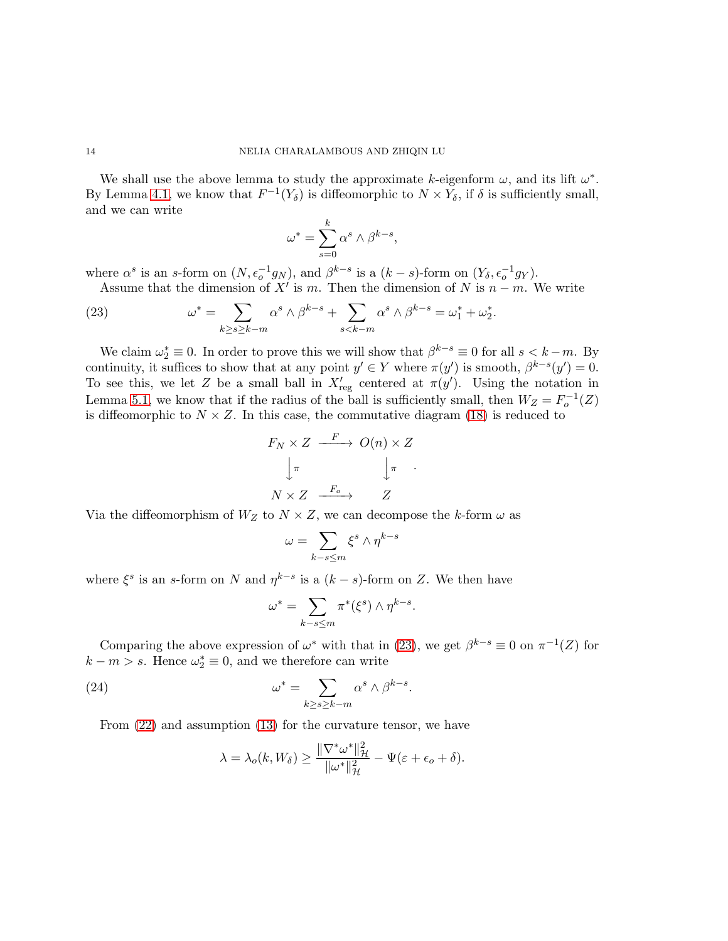We shall use the above lemma to study the approximate k-eigenform  $\omega$ , and its lift  $\omega^*$ . By Lemma [4.1,](#page-8-0) we know that  $F^{-1}(Y_{\delta})$  is diffeomorphic to  $N \times Y_{\delta}$ , if  $\delta$  is sufficiently small, and we can write

$$
\omega^* = \sum_{s=0}^k \alpha^s \wedge \beta^{k-s},
$$

where  $\alpha^s$  is an s-form on  $(N, \epsilon_o^{-1}g_N)$ , and  $\beta^{k-s}$  is a  $(k-s)$ -form on  $(Y_\delta, \epsilon_o^{-1}g_Y)$ . Assume that the dimension of X' is m. Then the dimension of N is  $n - m$ . We write

<span id="page-13-0"></span>(23) 
$$
\omega^* = \sum_{k \ge s \ge k-m} \alpha^s \wedge \beta^{k-s} + \sum_{s < k-m} \alpha^s \wedge \beta^{k-s} = \omega_1^* + \omega_2^*.
$$

We claim  $\omega_2^* \equiv 0$ . In order to prove this we will show that  $\beta^{k-s} \equiv 0$  for all  $s < k-m$ . By continuity, it suffices to show that at any point  $y' \in Y$  where  $\pi(y')$  is smooth,  $\beta^{k-s}(y') = 0$ . To see this, we let Z be a small ball in  $X'_{reg}$  centered at  $\pi(y')$ . Using the notation in Lemma [5.1,](#page-12-0) we know that if the radius of the ball is sufficiently small, then  $W_Z = F_o^{-1}(Z)$ is diffeomorphic to  $N \times Z$ . In this case, the commutative diagram [\(18\)](#page-11-4) is reduced to

$$
F_N \times Z \xrightarrow{F} O(n) \times Z
$$

$$
\downarrow \pi \qquad \qquad \downarrow \pi \qquad \dots
$$

$$
N \times Z \xrightarrow{F_o} Z
$$

Via the diffeomorphism of  $W_Z$  to  $N \times Z$ , we can decompose the k-form  $\omega$  as

$$
\omega=\sum_{k-s\le m}\xi^s\wedge\eta^{k-s}
$$

where  $\xi^s$  is an s-form on N and  $\eta^{k-s}$  is a  $(k-s)$ -form on Z. We then have

$$
\omega^* = \sum_{k-s \le m} \pi^*(\xi^s) \wedge \eta^{k-s}.
$$

Comparing the above expression of  $\omega^*$  with that in [\(23\)](#page-13-0), we get  $\beta^{k-s} \equiv 0$  on  $\pi^{-1}(Z)$  for  $k - m > s$ . Hence  $\omega_2^* \equiv 0$ , and we therefore can write

(24) 
$$
\omega^* = \sum_{k \ge s \ge k-m} \alpha^s \wedge \beta^{k-s}.
$$

From [\(22\)](#page-12-1) and assumption [\(13\)](#page-10-3) for the curvature tensor, we have

<span id="page-13-1"></span>
$$
\lambda = \lambda_o(k, W_{\delta}) \ge \frac{\|\nabla^* \omega^*\|_{\mathcal{H}}^2}{\|\omega^*\|_{\mathcal{H}}^2} - \Psi(\varepsilon + \epsilon_o + \delta).
$$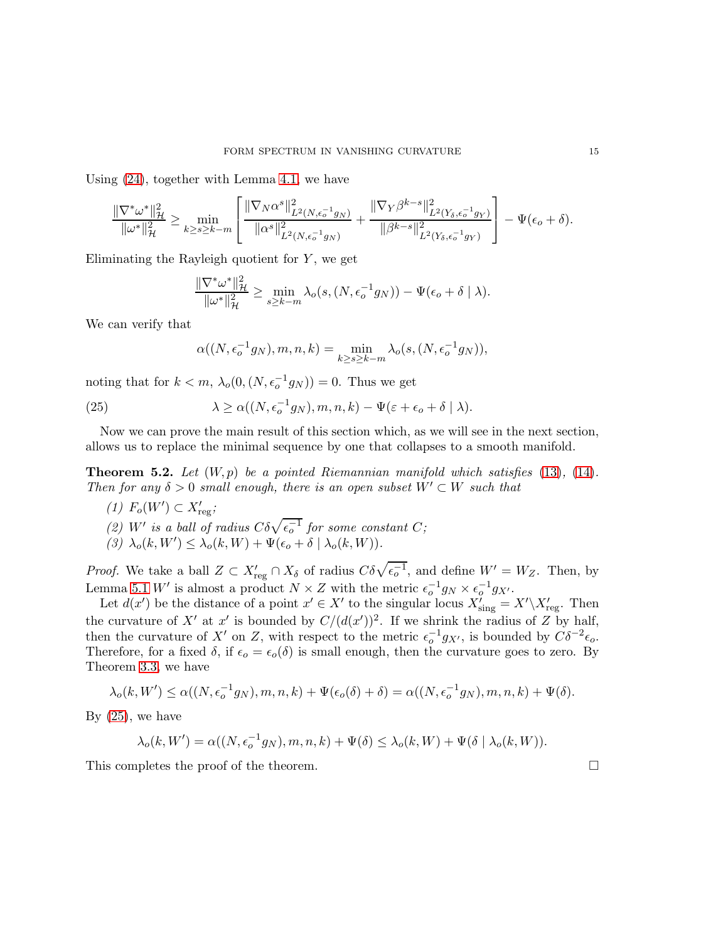Using [\(24\)](#page-13-1), together with Lemma [4.1,](#page-8-0) we have

$$
\frac{\|\nabla^*\omega^*\|_{\mathcal{H}}^2}{\|\omega^*\|_{\mathcal{H}}^2} \ge \min_{k\ge s\ge k-m} \left[ \frac{\|\nabla_N\alpha^s\|_{L^2(N,\epsilon_o^{-1}g_N)}^2}{\|\alpha^s\|_{L^2(N,\epsilon_o^{-1}g_N)}^2} + \frac{\|\nabla_Y\beta^{k-s}\|_{L^2(Y_\delta,\epsilon_o^{-1}g_Y)}^2}{\|\beta^{k-s}\|_{L^2(Y_\delta,\epsilon_o^{-1}g_Y)}^2} \right] - \Psi(\epsilon_o+\delta).
$$

Eliminating the Rayleigh quotient for  $Y$ , we get

$$
\frac{\|\nabla^*\omega^*\|_{\mathcal{H}}^2}{\|\omega^*\|_{\mathcal{H}}^2} \ge \min_{s\ge k-m} \lambda_o(s,(N,\epsilon_o^{-1}g_N)) - \Psi(\epsilon_o + \delta \mid \lambda).
$$

We can verify that

<span id="page-14-0"></span>
$$
\alpha((N, \epsilon_o^{-1}g_N), m, n, k) = \min_{k \ge s \ge k-m} \lambda_o(s, (N, \epsilon_o^{-1}g_N)),
$$

noting that for  $k < m$ ,  $\lambda_o(0, (N, \epsilon_o^{-1} g_N)) = 0$ . Thus we get

(25) 
$$
\lambda \ge \alpha((N, \epsilon_o^{-1}g_N), m, n, k) - \Psi(\varepsilon + \epsilon_o + \delta \mid \lambda).
$$

Now we can prove the main result of this section which, as we will see in the next section, allows us to replace the minimal sequence by one that collapses to a smooth manifold.

<span id="page-14-1"></span>**Theorem 5.2.** Let  $(W, p)$  be a pointed Riemannian manifold which satisfies [\(13\)](#page-10-3), [\(14\)](#page-10-4). Then for any  $\delta > 0$  small enough, there is an open subset  $W' \subset W$  such that

- $(1)$   $F_o(W') \subset X'_{\text{reg}};$
- (2) W' is a ball of radius  $C\delta\sqrt{\epsilon_o^{-1}}$  for some constant C;
- (3)  $\lambda_o(k, W') \leq \lambda_o(k, W) + \Psi(\epsilon_o + \delta \mid \lambda_o(k, W)).$

*Proof.* We take a ball  $Z \subset X'_{reg} \cap X_{\delta}$  of radius  $C \delta \sqrt{\epsilon_o^{-1}}$ , and define  $W' = W_Z$ . Then, by Lemma [5.1](#page-12-0) W' is almost a product  $N \times Z$  with the metric  $\epsilon_o^{-1} g_N \times \epsilon_o^{-1} g_{X'}$ .

Let  $d(x')$  be the distance of a point  $x' \in X'$  to the singular locus  $X'_{sing} = X' \setminus X'_{reg}$ . Then the curvature of X' at x' is bounded by  $C/(d(x'))^2$ . If we shrink the radius of Z by half, then the curvature of X' on Z, with respect to the metric  $\epsilon_o^{-1}g_{X'}$ , is bounded by  $C\delta^{-2}\epsilon_o$ . Therefore, for a fixed  $\delta$ , if  $\epsilon_o = \epsilon_o(\delta)$  is small enough, then the curvature goes to zero. By Theorem [3.3,](#page-7-1) we have

$$
\lambda_o(k, W') \le \alpha((N, \epsilon_o^{-1}g_N), m, n, k) + \Psi(\epsilon_o(\delta) + \delta) = \alpha((N, \epsilon_o^{-1}g_N), m, n, k) + \Psi(\delta).
$$

By  $(25)$ , we have

$$
\lambda_o(k, W') = \alpha((N, \epsilon_o^{-1} g_N), m, n, k) + \Psi(\delta) \leq \lambda_o(k, W) + \Psi(\delta \mid \lambda_o(k, W)).
$$

This completes the proof of the theorem.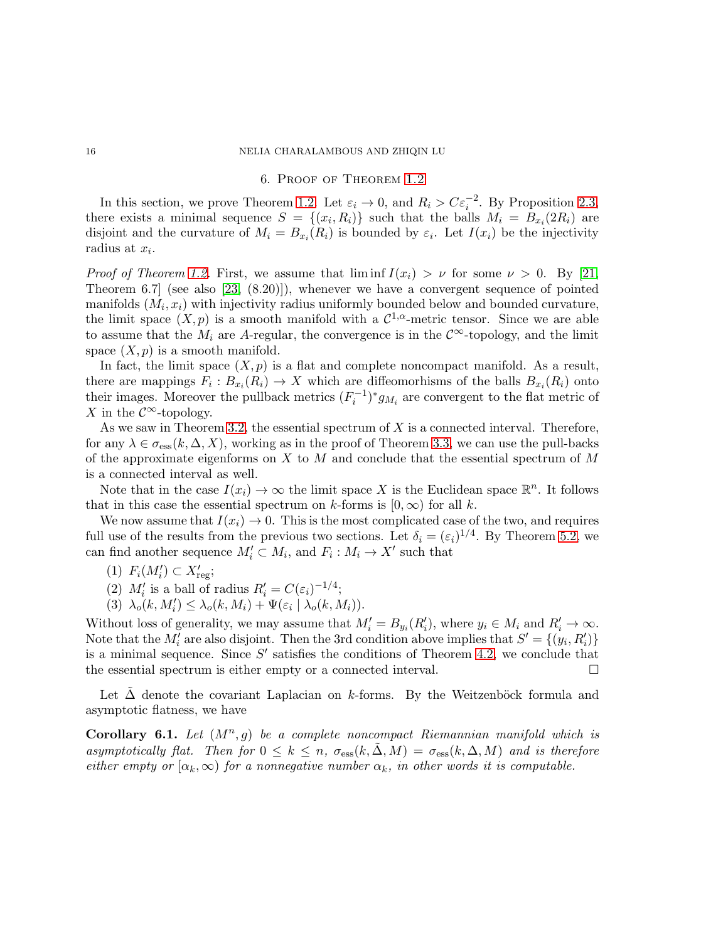#### 16 NELIA CHARALAMBOUS AND ZHIQIN LU

#### 6. Proof of Theorem [1.2](#page-1-0)

In this section, we prove Theorem [1.2.](#page-1-0) Let  $\varepsilon_i \to 0$ , and  $R_i > C \varepsilon_i^{-2}$ . By Proposition [2.3,](#page-5-1) there exists a minimal sequence  $S = \{(x_i, R_i)\}\$  such that the balls  $M_i = B_{x_i}(2R_i)$  are disjoint and the curvature of  $M_i = B_{x_i}(R_i)$  is bounded by  $\varepsilon_i$ . Let  $I(x_i)$  be the injectivity radius at  $x_i$ .

*Proof of Theorem [1.2.](#page-1-0)* First, we assume that  $\liminf I(x_i) > \nu$  for some  $\nu > 0$ . By [\[21,](#page-29-11) Theorem 6.7] (see also [\[23,](#page-29-12) (8.20)]), whenever we have a convergent sequence of pointed manifolds  $(M_i, x_i)$  with injectivity radius uniformly bounded below and bounded curvature, the limit space  $(X, p)$  is a smooth manifold with a  $\mathcal{C}^{1,\alpha}$ -metric tensor. Since we are able to assume that the  $M_i$  are A-regular, the convergence is in the  $\mathcal{C}^{\infty}$ -topology, and the limit space  $(X, p)$  is a smooth manifold.

In fact, the limit space  $(X, p)$  is a flat and complete noncompact manifold. As a result, there are mappings  $F_i: B_{x_i}(R_i) \to X$  which are diffeomorhisms of the balls  $B_{x_i}(R_i)$  onto their images. Moreover the pullback metrics  $(F_i^{-1})^* g_{M_i}$  are convergent to the flat metric of X in the  $\mathcal{C}^{\infty}$ -topology.

As we saw in Theorem [3.2,](#page-6-3) the essential spectrum of  $X$  is a connected interval. Therefore, for any  $\lambda \in \sigma_{\text{ess}}(k, \Delta, X)$ , working as in the proof of Theorem [3.3,](#page-7-1) we can use the pull-backs of the approximate eigenforms on  $X$  to  $M$  and conclude that the essential spectrum of  $M$ is a connected interval as well.

Note that in the case  $I(x_i) \to \infty$  the limit space X is the Euclidean space  $\mathbb{R}^n$ . It follows that in this case the essential spectrum on k-forms is  $[0, \infty)$  for all k.

We now assume that  $I(x_i) \to 0$ . This is the most complicated case of the two, and requires full use of the results from the previous two sections. Let  $\delta_i = (\varepsilon_i)^{1/4}$ . By Theorem [5.2,](#page-14-1) we can find another sequence  $M'_i \subset M_i$ , and  $F_i : M_i \to X'$  such that

- (1)  $F_i(M'_i) \subset X'_{\text{reg}};$
- (2)  $M'_i$  is a ball of radius  $R'_i = C(\varepsilon_i)^{-1/4}$ ;
- (3)  $\lambda_o(k, M'_i) \leq \lambda_o(k, M_i) + \Psi(\varepsilon_i \mid \lambda_o(k, M_i)).$

Without loss of generality, we may assume that  $M'_i = B_{y_i}(R'_i)$ , where  $y_i \in M_i$  and  $R'_i \to \infty$ . Note that the  $M'_i$  are also disjoint. Then the 3rd condition above implies that  $S' = \{(y_i, R'_i)\}\$ is a minimal sequence. Since  $S'$  satisfies the conditions of Theorem [4.2,](#page-9-0) we conclude that the essential spectrum is either empty or a connected interval.  $\Box$ 

Let  $\Delta$  denote the covariant Laplacian on k-forms. By the Weitzenböck formula and asymptotic flatness, we have

Corollary 6.1. Let  $(M^n, g)$  be a complete noncompact Riemannian manifold which is asymptotically flat. Then for  $0 \leq k \leq n$ ,  $\sigma_{\text{ess}}(k, \Delta, M) = \sigma_{\text{ess}}(k, \Delta, M)$  and is therefore either empty or  $[\alpha_k,\infty)$  for a nonnegative number  $\alpha_k$ , in other words it is computable.

<span id="page-15-0"></span>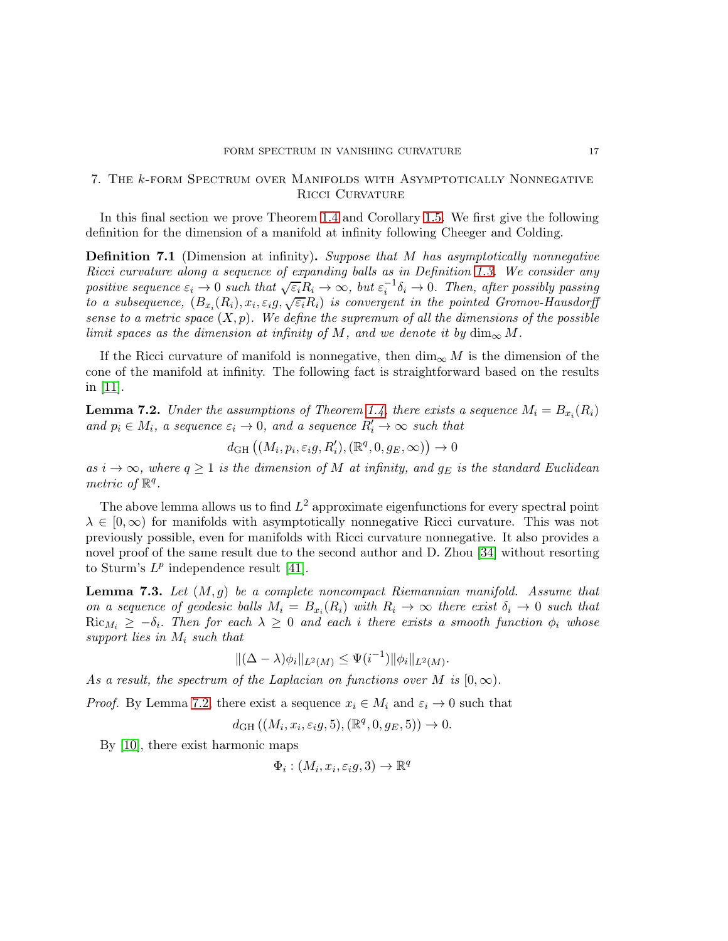## <span id="page-16-0"></span>7. The k-form Spectrum over Manifolds with Asymptotically Nonnegative RICCI CURVATURE

In this final section we prove Theorem [1.4](#page-2-1) and Corollary [1.5.](#page-2-3) We first give the following definition for the dimension of a manifold at infinity following Cheeger and Colding.

<span id="page-16-1"></span>Definition 7.1 (Dimension at infinity). Suppose that M has asymptotically nonnegative Ricci curvature along a sequence of expanding balls as in Definition [1.3.](#page-2-0) We consider any positive sequence  $\varepsilon_i \to 0$  such that  $\sqrt{\varepsilon_i}R_i \to \infty$ , but  $\varepsilon_i^{-1}\delta_i \to 0$ . Then, after possibly passing to a subsequence,  $(B_{x_i}(R_i), x_i, \varepsilon_i g, \sqrt{\varepsilon_i}R_i)$  is convergent in the pointed Gromov-Hausdorff sense to a metric space  $(X, p)$ . We define the supremum of all the dimensions of the possible limit spaces as the dimension at infinity of M, and we denote it by  $\dim_{\infty} M$ .

If the Ricci curvature of manifold is nonnegative, then  $\dim_{\infty} M$  is the dimension of the cone of the manifold at infinity. The following fact is straightforward based on the results in [\[11\]](#page-28-7).

<span id="page-16-2"></span>**Lemma 7.2.** Under the assumptions of Theorem [1.4,](#page-2-1) there exists a sequence  $M_i = B_{x_i}(R_i)$ and  $p_i \in M_i$ , a sequence  $\varepsilon_i \to 0$ , and a sequence  $R'_i \to \infty$  such that

$$
d_{\mathrm{GH}}\left((M_i, p_i, \varepsilon_i g, R'_i), (\mathbb{R}^q, 0, g_E, \infty)\right) \to 0
$$

as  $i \to \infty$ , where  $q \ge 1$  is the dimension of M at infinity, and  $g_E$  is the standard Euclidean metric of  $\mathbb{R}^q$ .

The above lemma allows us to find  $L^2$  approximate eigenfunctions for every spectral point  $\lambda \in [0,\infty)$  for manifolds with asymptotically nonnegative Ricci curvature. This was not previously possible, even for manifolds with Ricci curvature nonnegative. It also provides a novel proof of the same result due to the second author and D. Zhou [\[34\]](#page-29-13) without resorting to Sturm's  $L^p$  independence result [\[41\]](#page-29-14).

<span id="page-16-3"></span>**Lemma 7.3.** Let  $(M, q)$  be a complete noncompact Riemannian manifold. Assume that on a sequence of geodesic balls  $M_i = B_{x_i}(R_i)$  with  $R_i \to \infty$  there exist  $\delta_i \to 0$  such that  $\text{Ric}_{M_i} \geq -\delta_i$ . Then for each  $\lambda \geq 0$  and each i there exists a smooth function  $\phi_i$  whose support lies in  $M_i$  such that

$$
\|(\Delta - \lambda)\phi_i\|_{L^2(M)} \le \Psi(i^{-1}) \|\phi_i\|_{L^2(M)}.
$$

As a result, the spectrum of the Laplacian on functions over M is  $[0,\infty)$ .

*Proof.* By Lemma [7.2,](#page-16-2) there exist a sequence  $x_i \in M_i$  and  $\varepsilon_i \to 0$  such that

 $d_{GH} ((M_i, x_i, \varepsilon_i, 5), (\mathbb{R}^q, 0, g_E, 5)) \to 0.$ 

By [\[10\]](#page-28-10), there exist harmonic maps

 $\Phi_i: (M_i, x_i, \varepsilon_i g, 3) \to \mathbb{R}^q$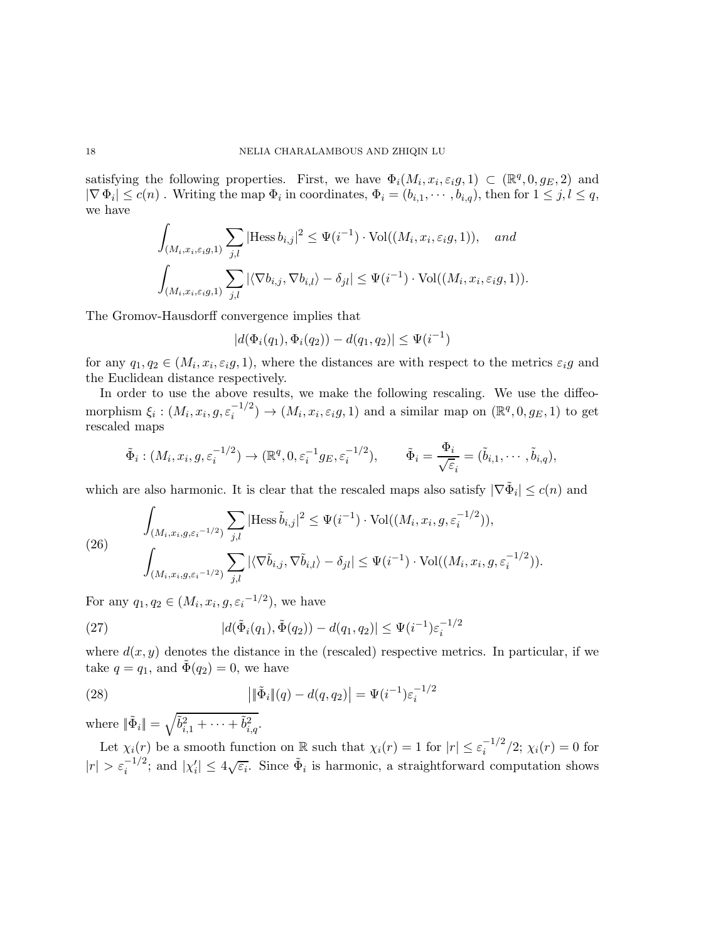satisfying the following properties. First, we have  $\Phi_i(M_i, x_i, \varepsilon_i g, 1) \subset (\mathbb{R}^q, 0, g_E, 2)$  and  $|\nabla \Phi_i| \le c(n)$ . Writing the map  $\Phi_i$  in coordinates,  $\Phi_i = (b_{i,1}, \dots, b_{i,q})$ , then for  $1 \le j, l \le q$ , we have

$$
\int_{(M_i, x_i, \varepsilon_i g, 1)} \sum_{j,l} |\text{Hess } b_{i,j}|^2 \leq \Psi(i^{-1}) \cdot \text{Vol}((M_i, x_i, \varepsilon_i g, 1)), \text{ and}
$$

$$
\int_{(M_i, x_i, \varepsilon_i g, 1)} \sum_{j,l} |\langle \nabla b_{i,j}, \nabla b_{i,l} \rangle - \delta_{jl}| \leq \Psi(i^{-1}) \cdot \text{Vol}((M_i, x_i, \varepsilon_i g, 1)).
$$

The Gromov-Hausdorff convergence implies that

$$
|d(\Phi_i(q_1), \Phi_i(q_2)) - d(q_1, q_2)| \leq \Psi(i^{-1})
$$

for any  $q_1, q_2 \in (M_i, x_i, \varepsilon_i g, 1)$ , where the distances are with respect to the metrics  $\varepsilon_i g$  and the Euclidean distance respectively.

In order to use the above results, we make the following rescaling. We use the diffeomorphism  $\xi_i: (M_i, x_i, g, \varepsilon_i^{-1/2}) \to (M_i, x_i, \varepsilon_i g, 1)$  and a similar map on  $(\mathbb{R}^q, 0, g_E, 1)$  to get rescaled maps

$$
\tilde{\Phi}_i:(M_i,x_i,g,\varepsilon_i^{-1/2})\to(\mathbb{R}^q,0,\varepsilon_i^{-1}g_E,\varepsilon_i^{-1/2}),\qquad\tilde{\Phi}_i=\frac{\Phi_i}{\sqrt{\varepsilon}_i}=(\tilde{b}_{i,1},\cdots,\tilde{b}_{i,q}),
$$

which are also harmonic. It is clear that the rescaled maps also satisfy  $|\nabla \tilde{\Phi}_i| \leq c(n)$  and

<span id="page-17-1"></span>(26) 
$$
\int_{(M_i,x_i,g,\varepsilon_i^{-1/2})} \sum_{j,l} |\text{Hess}\,\tilde{b}_{i,j}|^2 \leq \Psi(i^{-1}) \cdot \text{Vol}((M_i,x_i,g,\varepsilon_i^{-1/2})),
$$

$$
\int_{(M_i,x_i,g,\varepsilon_i^{-1/2})} \sum_{j,l} |\langle \nabla \tilde{b}_{i,j}, \nabla \tilde{b}_{i,l} \rangle - \delta_{jl}| \leq \Psi(i^{-1}) \cdot \text{Vol}((M_i,x_i,g,\varepsilon_i^{-1/2})).
$$

For any  $q_1, q_2 \in (M_i, x_i, g, \varepsilon_i^{-1/2}),$  we have

(27) 
$$
|d(\tilde{\Phi}_i(q_1), \tilde{\Phi}(q_2)) - d(q_1, q_2)| \leq \Psi(i^{-1}) \varepsilon_i^{-1/2}
$$

where  $d(x, y)$  denotes the distance in the (rescaled) respective metrics. In particular, if we take  $q = q_1$ , and  $\bar{\Phi}(q_2) = 0$ , we have

<span id="page-17-0"></span>(28) 
$$
\left| \|\tilde{\Phi}_i\|(q) - d(q, q_2) \right| = \Psi(i^{-1}) \varepsilon_i^{-1/2}
$$

where  $\|\tilde{\Phi}_i\| = \sqrt{\tilde{b}_{i,1}^2 + \cdots + \tilde{b}_{i,q}^2}$ .

Let  $\chi_i(r)$  be a smooth function on R such that  $\chi_i(r) = 1$  for  $|r| \leq \varepsilon_i^{-1/2}/2$ ;  $\chi_i(r) = 0$  for  $|r| > \varepsilon_i^{-1/2}$ ; and  $|\chi'_i| \leq 4\sqrt{\varepsilon_i}$ . Since  $\tilde{\Phi}_i$  is harmonic, a straightforward computation shows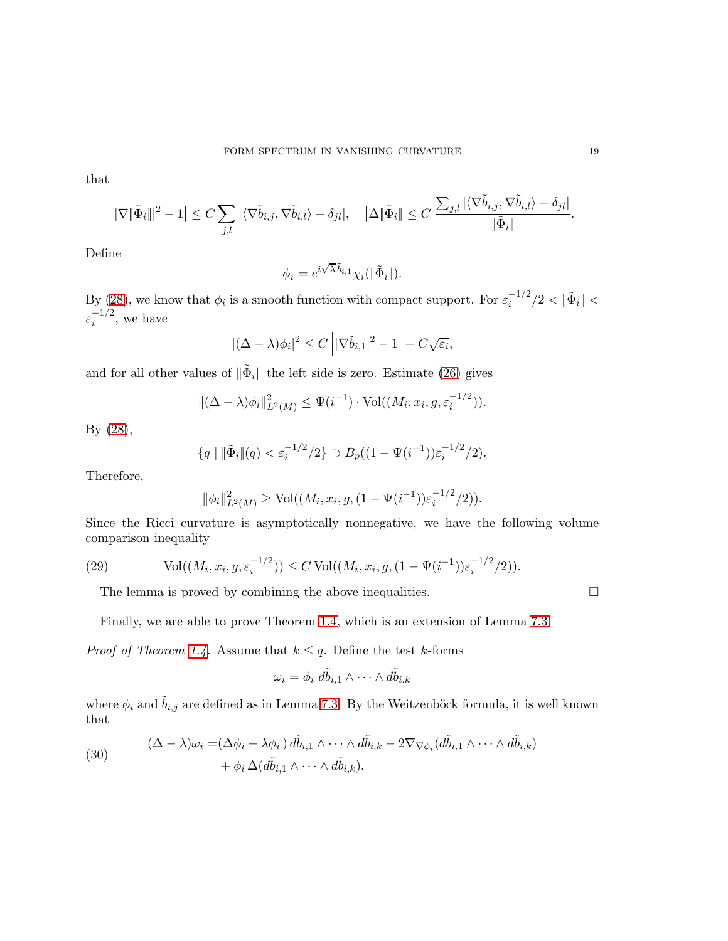that

$$
\left| |\nabla \|\tilde{\Phi}_i\|^2 - 1 \right| \leq C \sum_{j,l} |\langle \nabla \tilde{b}_{i,j}, \nabla \tilde{b}_{i,l} \rangle - \delta_{jl}|, \quad \left| \Delta \|\tilde{\Phi}_i\| \right| \leq C \frac{\sum_{j,l} |\langle \nabla \tilde{b}_{i,j}, \nabla \tilde{b}_{i,l} \rangle - \delta_{jl}|}{\|\tilde{\Phi}_i\|}.
$$

Define

$$
\phi_i = e^{i\sqrt{\lambda}\,\tilde b_{i,1}} \chi_i(\|\tilde\Phi_i\|).
$$

By [\(28\)](#page-17-0), we know that  $\phi_i$  is a smooth function with compact support. For  $\varepsilon_i^{-1/2}/2 < ||\tilde{\Phi}_i|| <$  $\varepsilon_i^{-1/2}$ , we have

$$
|(\Delta - \lambda)\phi_i|^2 \le C \left| |\nabla \tilde{b}_{i,1}|^2 - 1 \right| + C\sqrt{\varepsilon_i},
$$

and for all other values of  $\|\tilde{\Phi}_i\|$  the left side is zero. Estimate [\(26\)](#page-17-1) gives

$$
\|(\Delta - \lambda)\phi_i\|_{L^2(M)}^2 \le \Psi(i^{-1}) \cdot \text{Vol}((M_i, x_i, g, \varepsilon_i^{-1/2})).
$$

By [\(28\)](#page-17-0),

$$
\{q \mid \|\tilde{\Phi}_i\|(q) < \varepsilon_i^{-1/2}/2\} \supset B_p((1 - \Psi(i^{-1}))\varepsilon_i^{-1/2}/2).
$$

Therefore,

$$
\|\phi_i\|_{L^2(M)}^2 \ge \text{Vol}((M_i, x_i, g, (1 - \Psi(i^{-1}))\varepsilon_i^{-1/2}/2)).
$$

Since the Ricci curvature is asymptotically nonnegative, we have the following volume comparison inequality

(29) Vol
$$
((M_i, x_i, g, \varepsilon_i^{-1/2})) \le C Vol((M_i, x_i, g, (1 - \Psi(i^{-1})) \varepsilon_i^{-1/2}/2)).
$$

<span id="page-18-1"></span>The lemma is proved by combining the above inequalities.  $\Box$ 

Finally, we are able to prove Theorem [1.4,](#page-2-1) which is an extension of Lemma [7.3.](#page-16-3)

*Proof of Theorem [1.4.](#page-2-1)* Assume that  $k \leq q$ . Define the test k-forms

$$
\omega_i = \phi_i \; d\tilde{b}_{i,1} \wedge \cdots \wedge d\tilde{b}_{i,k}
$$

where  $\phi_i$  and  $\tilde{b}_{i,j}$  are defined as in Lemma [7.3.](#page-16-3) By the Weitzenböck formula, it is well known that

<span id="page-18-0"></span>(30) 
$$
(\Delta - \lambda)\omega_i = (\Delta\phi_i - \lambda\phi_i) d\tilde{b}_{i,1} \wedge \cdots \wedge d\tilde{b}_{i,k} - 2\nabla_{\nabla\phi_i} (d\tilde{b}_{i,1} \wedge \cdots \wedge d\tilde{b}_{i,k}) + \phi_i \Delta(d\tilde{b}_{i,1} \wedge \cdots \wedge d\tilde{b}_{i,k}).
$$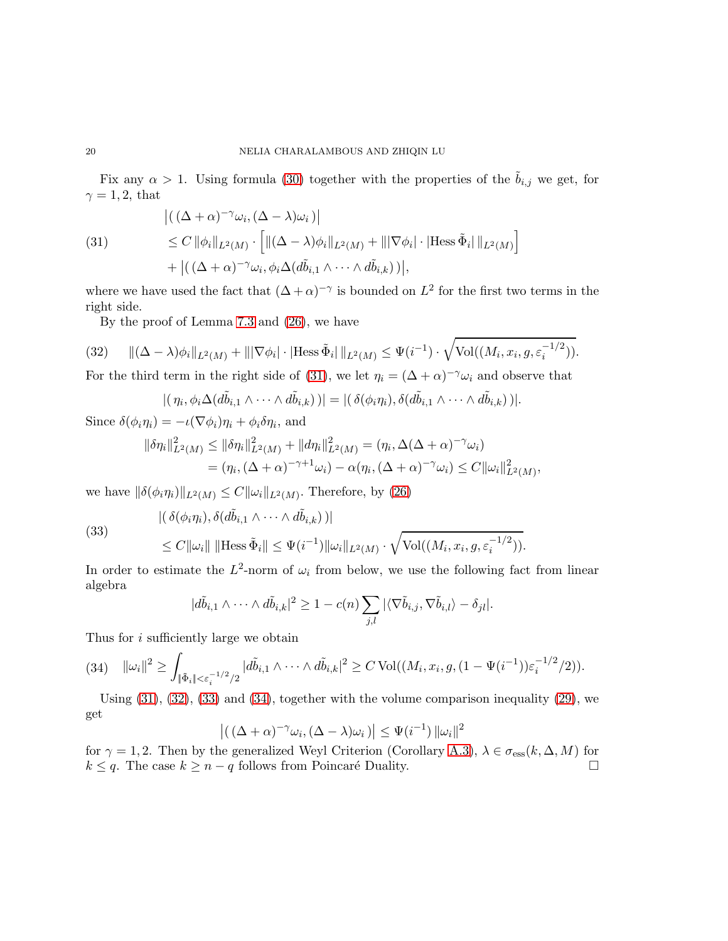Fix any  $\alpha > 1$ . Using formula [\(30\)](#page-18-0) together with the properties of the  $\tilde{b}_{i,j}$  we get, for  $\gamma = 1, 2$ , that

<span id="page-19-0"></span>(31)  
\n
$$
\begin{aligned}\n &|((\Delta + \alpha)^{-\gamma}\omega_i, (\Delta - \lambda)\omega_i)| \\
 &\leq C \|\phi_i\|_{L^2(M)} \cdot \left[ \|(\Delta - \lambda)\phi_i\|_{L^2(M)} + \| |\nabla\phi_i| \cdot |\text{Hess}\,\tilde{\Phi}_i| \, \|_{L^2(M)} \right] \\
 &+ |((\Delta + \alpha)^{-\gamma}\omega_i, \phi_i \Delta(d\tilde{b}_{i,1} \wedge \dots \wedge d\tilde{b}_{i,k}))|,\n\end{aligned}
$$

where we have used the fact that  $(\Delta + \alpha)^{-\gamma}$  is bounded on  $L^2$  for the first two terms in the right side.

<span id="page-19-1"></span>By the proof of Lemma [7.3](#page-16-3) and [\(26\)](#page-17-1), we have

(32) 
$$
\|(\Delta - \lambda)\phi_i\|_{L^2(M)} + \||\nabla \phi_i| \cdot |\text{Hess }\tilde{\Phi}_i| \|_{L^2(M)} \leq \Psi(i^{-1}) \cdot \sqrt{\text{Vol}((M_i, x_i, g, \varepsilon_i^{-1/2}))}.
$$

For the third term in the right side of [\(31\)](#page-19-0), we let  $\eta_i = (\Delta + \alpha)^{-\gamma} \omega_i$  and observe that

$$
|(\eta_i, \phi_i \Delta(d\tilde{b}_{i,1} \wedge \cdots \wedge d\tilde{b}_{i,k}))| = |(\delta(\phi_i \eta_i), \delta(d\tilde{b}_{i,1} \wedge \cdots \wedge d\tilde{b}_{i,k}))|.
$$

Since  $\delta(\phi_i \eta_i) = -\iota(\nabla \phi_i)\eta_i + \phi_i \delta \eta_i$ , and

$$
\begin{aligned} \|\delta \eta_i\|_{L^2(M)}^2 &\leq \|\delta \eta_i\|_{L^2(M)}^2 + \|d\eta_i\|_{L^2(M)}^2 = (\eta_i, \Delta(\Delta + \alpha)^{-\gamma}\omega_i) \\ &= (\eta_i, (\Delta + \alpha)^{-\gamma + 1}\omega_i) - \alpha(\eta_i, (\Delta + \alpha)^{-\gamma}\omega_i) \leq C \|\omega_i\|_{L^2(M)}^2, \end{aligned}
$$

we have  $\|\delta(\phi_i\eta_i)\|_{L^2(M)} \leq C\|\omega_i\|_{L^2(M)}$ . Therefore, by [\(26\)](#page-17-1)

<span id="page-19-2"></span>(33)

$$
\begin{aligned} &|\left(\delta(\phi_i\eta_i), \delta(d\tilde{b}_{i,1}\wedge\cdots\wedge d\tilde{b}_{i,k})\right)|\\ &\leq C\|\omega_i\| \|\text{Hess}\,\tilde{\Phi}_i\| \leq \Psi(i^{-1})\|\omega_i\|_{L^2(M)} \cdot \sqrt{\text{Vol}((M_i, x_i, g, \varepsilon_i^{-1/2}))}. \end{aligned}
$$

In order to estimate the  $L^2$ -norm of  $\omega_i$  from below, we use the following fact from linear algebra

$$
|d\tilde{b}_{i,1}\wedge\cdots\wedge d\tilde{b}_{i,k}|^2\geq 1-c(n)\sum_{j,l}|\langle\nabla \tilde{b}_{i,j},\nabla \tilde{b}_{i,l}\rangle-\delta_{jl}|.
$$

Thus for i sufficiently large we obtain

<span id="page-19-3"></span>
$$
(34) \quad \|\omega_i\|^2 \geq \int_{\|\tilde{\Phi}_i\| < \varepsilon_i^{-1/2}/2} |d\tilde{b}_{i,1} \wedge \cdots \wedge d\tilde{b}_{i,k}|^2 \geq C \operatorname{Vol}((M_i, x_i, g, (1 - \Psi(i^{-1}))\varepsilon_i^{-1/2}/2)).
$$

Using  $(31)$ ,  $(32)$ ,  $(33)$  and  $(34)$ , together with the volume comparison inequality  $(29)$ , we get

$$
\left| \left( \left( \Delta + \alpha \right)^{-\gamma} \omega_i, \left( \Delta - \lambda \right) \omega_i \right) \right| \leq \Psi(i^{-1}) \left\| \omega_i \right\|^2
$$

for  $\gamma = 1, 2$ . Then by the generalized Weyl Criterion (Corollary [A.3\)](#page-25-1),  $\lambda \in \sigma_{\text{ess}}(k, \Delta, M)$  for  $k \le a$ . The case  $k \ge n - a$  follows from Poincaré Duality.  $k \leq q$ . The case  $k \geq n - q$  follows from Poincaré Duality.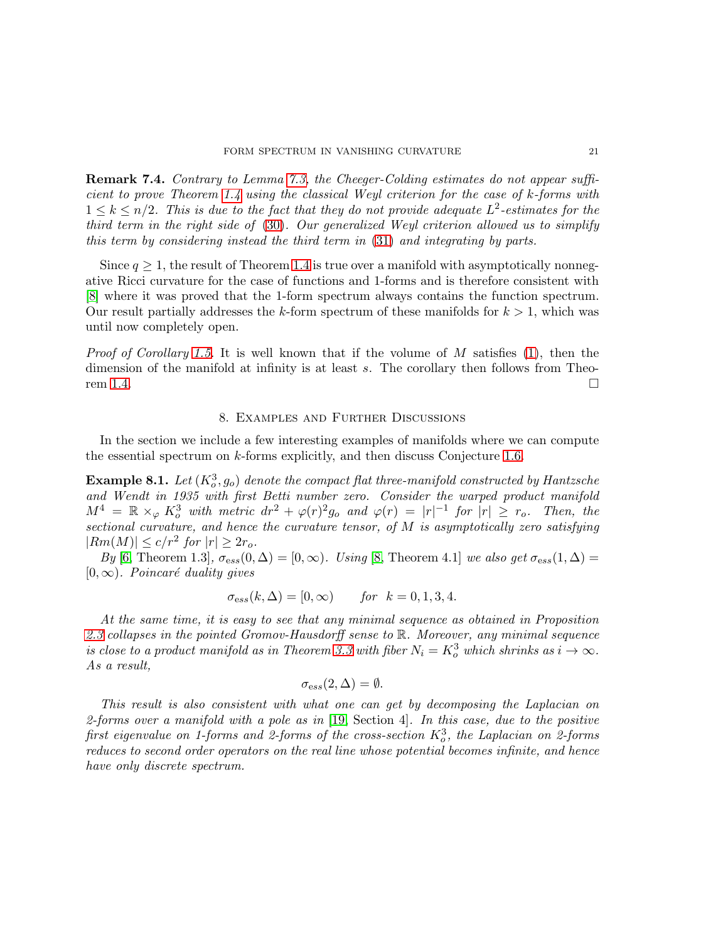Remark 7.4. Contrary to Lemma [7.3,](#page-16-3) the Cheeger-Colding estimates do not appear sufficient to prove Theorem [1.4](#page-2-1) using the classical Weyl criterion for the case of k-forms with  $1 \leq k \leq n/2$ . This is due to the fact that they do not provide adequate  $L^2$ -estimates for the third term in the right side of [\(30\)](#page-18-0). Our generalized Weyl criterion allowed us to simplify this term by considering instead the third term in [\(31\)](#page-19-0) and integrating by parts.

Since  $q \geq 1$ , the result of Theorem [1.4](#page-2-1) is true over a manifold with asymptotically nonnegative Ricci curvature for the case of functions and 1-forms and is therefore consistent with [\[8\]](#page-28-9) where it was proved that the 1-form spectrum always contains the function spectrum. Our result partially addresses the k-form spectrum of these manifolds for  $k > 1$ , which was until now completely open.

*Proof of Corollary [1.5.](#page-2-3)* It is well known that if the volume of  $M$  satisfies [\(1\)](#page-2-4), then the dimension of the manifold at infinity is at least s. The corollary then follows from Theo-rem [1.4.](#page-2-1)

## 8. Examples and Further Discussions

<span id="page-20-0"></span>In the section we include a few interesting examples of manifolds where we can compute the essential spectrum on k-forms explicitly, and then discuss Conjecture [1.6.](#page-2-2)

**Example 8.1.** Let  $(K_o^3, g_o)$  denote the compact flat three-manifold constructed by Hantzsche and Wendt in 1935 with first Betti number zero. Consider the warped product manifold  $M^4 = \mathbb{R} \times_{\varphi} K_o^3$  with metric  $dr^2 + \varphi(r)^2 g_o$  and  $\varphi(r) = |r|^{-1}$  for  $|r| \geq r_o$ . Then, the sectional curvature, and hence the curvature tensor, of M is asymptotically zero satisfying  $|Rm(M)| \leq c/r^2$  for  $|r| \geq 2r_o$ .

By [\[6,](#page-28-13) Theorem 1.3],  $\sigma_{ess}(0,\Delta) = [0,\infty)$ . Using [\[8,](#page-28-9) Theorem 4.1] we also get  $\sigma_{ess}(1,\Delta) =$  $[0, \infty)$ . Poincaré duality gives

$$
\sigma_{\text{ess}}(k,\Delta) = [0,\infty) \quad \text{for } k = 0, 1, 3, 4.
$$

At the same time, it is easy to see that any minimal sequence as obtained in Proposition [2.3](#page-5-1) collapses in the pointed Gromov-Hausdorff sense to R. Moreover, any minimal sequence is close to a product manifold as in Theorem [3.3](#page-7-1) with fiber  $N_i = K_o^3$  which shrinks as  $i \to \infty$ . As a result,

$$
\sigma_{\mathrm{ess}}(2,\Delta)=\emptyset.
$$

This result is also consistent with what one can get by decomposing the Laplacian on 2-forms over a manifold with a pole as in  $[19, \text{ Section 4}]$  $[19, \text{ Section 4}]$ . In this case, due to the positive first eigenvalue on 1-forms and 2-forms of the cross-section  $K_o^3$ , the Laplacian on 2-forms reduces to second order operators on the real line whose potential becomes infinite, and hence have only discrete spectrum.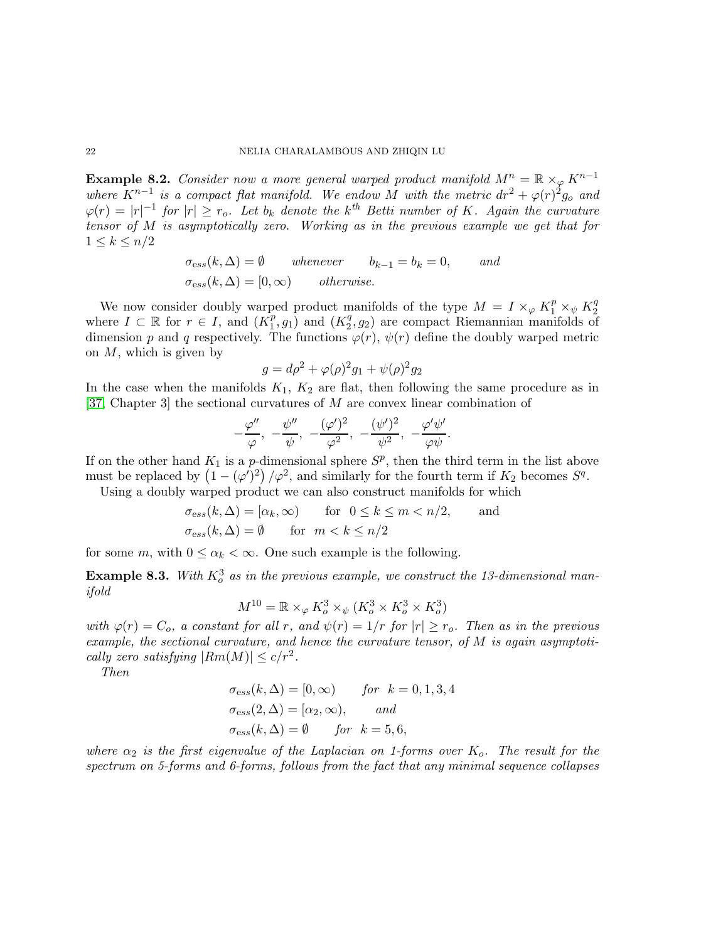**Example 8.2.** Consider now a more general warped product manifold  $M^n = \mathbb{R} \times_{\varphi} K^{n-1}$ where  $K^{n-1}$  is a compact flat manifold. We endow M with the metric  $dr^2 + \varphi(r)^2 g_0$  and  $\varphi(r) = |r|^{-1}$  for  $|r| \ge r_0$ . Let  $b_k$  denote the k<sup>th</sup> Betti number of K. Again the curvature tensor of M is asymptotically zero. Working as in the previous example we get that for  $1 \leq k \leq n/2$ 

$$
\sigma_{\text{es}}(k, \Delta) = \emptyset
$$
 whenever  $b_{k-1} = b_k = 0$ , and  
\n $\sigma_{\text{es}}(k, \Delta) = [0, \infty)$  otherwise.

We now consider doubly warped product manifolds of the type  $M = I \times_{\varphi} K_1^p \times_{\psi} K_2^q$ 2 where  $I \subset \mathbb{R}$  for  $r \in I$ , and  $(K_1^p)$  $\overline{p}$ ,  $g_1$ ) and  $(K_2^q)$  $(2^q, g_2)$  are compact Riemannian manifolds of dimension p and q respectively. The functions  $\varphi(r)$ ,  $\psi(r)$  define the doubly warped metric on  $M$ , which is given by

$$
g = d\rho^{2} + \varphi(\rho)^{2}g_{1} + \psi(\rho)^{2}g_{2}
$$

In the case when the manifolds  $K_1, K_2$  are flat, then following the same procedure as in [\[37,](#page-29-15) Chapter 3] the sectional curvatures of M are convex linear combination of

$$
-\frac{\varphi''}{\varphi}, \ -\frac{\psi''}{\psi}, \ -\frac{(\varphi')^2}{\varphi^2}, \ -\frac{(\psi')^2}{\psi^2}, \ -\frac{\varphi'\psi'}{\varphi\psi}.
$$

If on the other hand  $K_1$  is a p-dimensional sphere  $S^p$ , then the third term in the list above must be replaced by  $(1 - (\varphi')^2) / \varphi^2$ , and similarly for the fourth term if  $K_2$  becomes  $S^q$ . Using a doubly warped product we can also construct manifolds for which

$$
\sigma_{\text{ess}}(k,\Delta) = [\alpha_k, \infty) \quad \text{for} \quad 0 \le k \le m < n/2, \quad \text{and}
$$
\n
$$
\sigma_{\text{ess}}(k,\Delta) = \emptyset \quad \text{for} \quad m < k \le n/2
$$

for some m, with  $0 \leq \alpha_k < \infty$ . One such example is the following.

**Example 8.3.** With  $K_o^3$  as in the previous example, we construct the 13-dimensional manifold

$$
M^{10} = \mathbb{R} \times_{\varphi} K_o^3 \times_{\psi} (K_o^3 \times K_o^3 \times K_o^3)
$$

with  $\varphi(r) = C_o$ , a constant for all r, and  $\psi(r) = 1/r$  for  $|r| \ge r_o$ . Then as in the previous example, the sectional curvature, and hence the curvature tensor, of  $M$  is again asymptotically zero satisfying  $|Rm(M)| \leq c/r^2$ .

Then

$$
\sigma_{\text{ess}}(k,\Delta) = [0,\infty) \quad \text{for } k = 0, 1, 3, 4
$$
  

$$
\sigma_{\text{ess}}(2,\Delta) = [\alpha_2,\infty), \quad \text{and}
$$
  

$$
\sigma_{\text{ess}}(k,\Delta) = \emptyset \quad \text{for } k = 5, 6,
$$

where  $\alpha_2$  is the first eigenvalue of the Laplacian on 1-forms over  $K_o$ . The result for the spectrum on 5-forms and 6-forms, follows from the fact that any minimal sequence collapses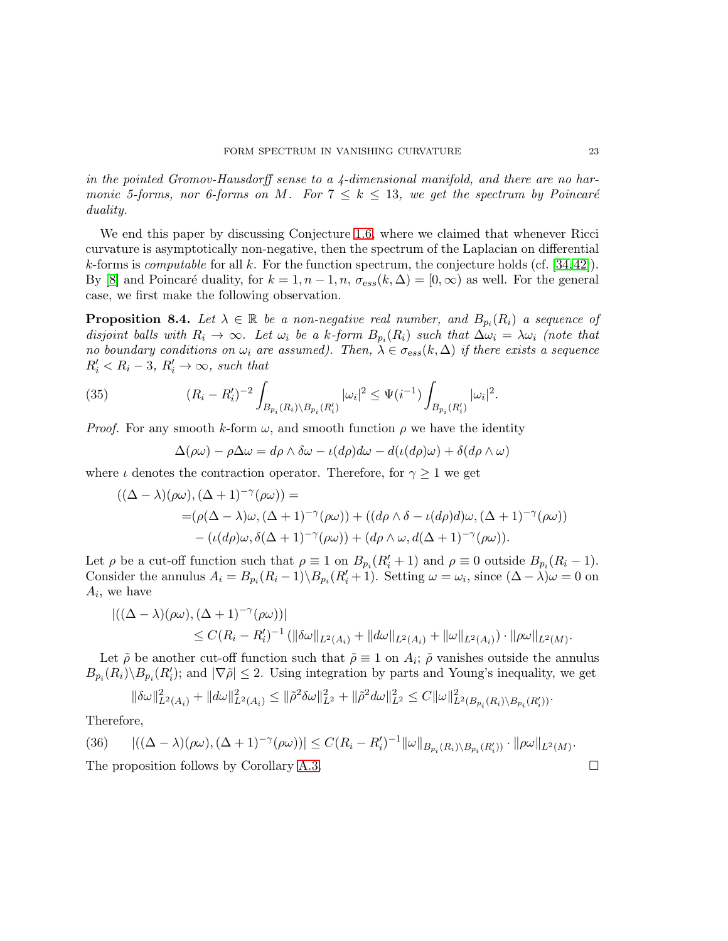in the pointed Gromov-Hausdorff sense to a  $4$ -dimensional manifold, and there are no harmonic 5-forms, nor 6-forms on M. For  $7 \leq k \leq 13$ , we get the spectrum by Poincaré duality.

We end this paper by discussing Conjecture [1.6,](#page-2-2) where we claimed that whenever Ricci curvature is asymptotically non-negative, then the spectrum of the Laplacian on differential k-forms is *computable* for all k. For the function spectrum, the conjecture holds (cf.  $[34,42]$  $[34,42]$ ). By [\[8\]](#page-28-9) and Poincaré duality, for  $k = 1, n - 1, n, \sigma_{ess}(k, \Delta) = [0, \infty)$  as well. For the general case, we first make the following observation.

<span id="page-22-1"></span>**Proposition 8.4.** Let  $\lambda \in \mathbb{R}$  be a non-negative real number, and  $B_{p_i}(R_i)$  a sequence of disjoint balls with  $R_i \to \infty$ . Let  $\omega_i$  be a k-form  $B_{p_i}(R_i)$  such that  $\Delta \omega_i = \lambda \omega_i$  (note that no boundary conditions on  $\omega_i$  are assumed). Then,  $\lambda \in \sigma_{\text{ess}}(k,\Delta)$  if there exists a sequence  $R'_i < R_i - 3, R'_i \rightarrow \infty$ , such that

(35) 
$$
(R_i - R'_i)^{-2} \int_{B_{p_i}(R_i) \backslash B_{p_i}(R'_i)} |\omega_i|^2 \leq \Psi(i^{-1}) \int_{B_{p_i}(R'_i)} |\omega_i|^2.
$$

*Proof.* For any smooth k-form  $\omega$ , and smooth function  $\rho$  we have the identity

$$
\Delta(\rho\omega) - \rho\Delta\omega = d\rho \wedge \delta\omega - \iota(d\rho)d\omega - d(\iota(d\rho)\omega) + \delta(d\rho \wedge \omega)
$$

where  $\iota$  denotes the contraction operator. Therefore, for  $\gamma \geq 1$  we get

$$
((\Delta - \lambda)(\rho\omega), (\Delta + 1)^{-\gamma}(\rho\omega)) =
$$
  
=  $(\rho(\Delta - \lambda)\omega, (\Delta + 1)^{-\gamma}(\rho\omega)) + ((d\rho \wedge \delta - \iota(d\rho)d)\omega, (\Delta + 1)^{-\gamma}(\rho\omega))$   
 $- (\iota(d\rho)\omega, \delta(\Delta + 1)^{-\gamma}(\rho\omega)) + (d\rho \wedge \omega, d(\Delta + 1)^{-\gamma}(\rho\omega)).$ 

Let  $\rho$  be a cut-off function such that  $\rho \equiv 1$  on  $B_{p_i}(R'_i + 1)$  and  $\rho \equiv 0$  outside  $B_{p_i}(R_i - 1)$ . Consider the annulus  $A_i = B_{p_i}(R_i - 1) \setminus B_{p_i}(R'_i + 1)$ . Setting  $\omega = \omega_i$ , since  $(\Delta - \lambda)\omega = 0$  on  $A_i$ , we have

$$
\begin{aligned} |((\Delta - \lambda)(\rho\omega), (\Delta + 1)^{-\gamma}(\rho\omega))| \\ &\leq C(R_i - R'_i)^{-1} \left( \|\delta\omega\|_{L^2(A_i)} + \|d\omega\|_{L^2(A_i)} + \|\omega\|_{L^2(A_i)} \right) \cdot \|\rho\omega\|_{L^2(M)}. \end{aligned}
$$

Let  $\tilde{\rho}$  be another cut-off function such that  $\tilde{\rho} \equiv 1$  on  $A_i$ ;  $\tilde{\rho}$  vanishes outside the annulus  $B_{p_i}(R_i)\setminus B_{p_i}(R'_i)$ ; and  $|\nabla \tilde{\rho}| \leq 2$ . Using integration by parts and Young's inequality, we get

$$
\|\delta\omega\|_{L^2(A_i)}^2 + \|d\omega\|_{L^2(A_i)}^2 \le \|\tilde{\rho}^2\delta\omega\|_{L^2}^2 + \|\tilde{\rho}^2\omega\|_{L^2}^2 \le C\|\omega\|_{L^2(B_{p_i}(R_i)\setminus B_{p_i}(R_i'))}^2.
$$

Therefore,

<span id="page-22-0"></span>(36) 
$$
|((\Delta - \lambda)(\rho\omega), (\Delta + 1)^{-\gamma}(\rho\omega))| \leq C(R_i - R'_i)^{-1} ||\omega||_{B_{p_i}(R_i) \setminus B_{p_i}(R'_i))} \cdot ||\rho\omega||_{L^2(M)}.
$$
  
The proposition follows by Corollary A.3.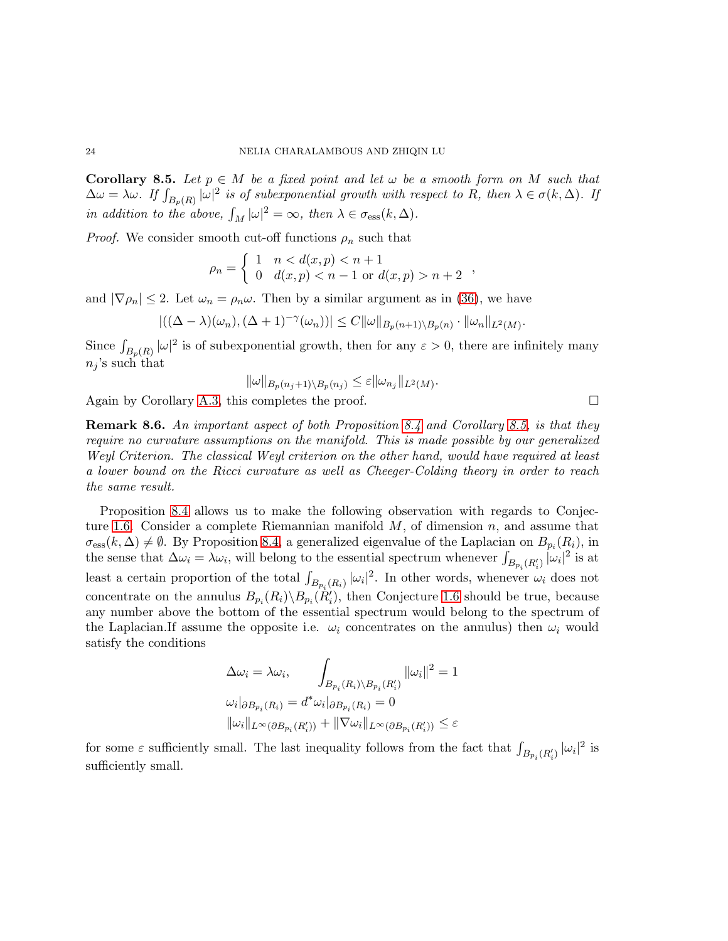<span id="page-23-0"></span>**Corollary 8.5.** Let  $p \in M$  be a fixed point and let  $\omega$  be a smooth form on M such that  $\Delta \omega = \lambda \omega$ . If  $\int_{B_p(R)} |\omega|^2$  is of subexponential growth with respect to R, then  $\lambda \in \sigma(k, \Delta)$ . If in addition to the above,  $\int_M |\omega|^2 = \infty$ , then  $\lambda \in \sigma_{\text{ess}}(k, \Delta)$ .

*Proof.* We consider smooth cut-off functions  $\rho_n$  such that

$$
\rho_n = \begin{cases} 1 & n < d(x, p) < n + 1 \\ 0 & d(x, p) < n - 1 \text{ or } d(x, p) > n + 2 \end{cases}
$$

and  $|\nabla \rho_n| \leq 2$ . Let  $\omega_n = \rho_n \omega$ . Then by a similar argument as in [\(36\)](#page-22-0), we have

$$
|((\Delta - \lambda)(\omega_n), (\Delta + 1)^{-\gamma}(\omega_n))| \leq C ||\omega||_{B_p(n+1)\setminus B_p(n)} \cdot ||\omega_n||_{L^2(M)}.
$$

Since  $\int_{B_p(R)} |\omega|^2$  is of subexponential growth, then for any  $\varepsilon > 0$ , there are infinitely many  $n_j$ 's such that

$$
\|\omega\|_{B_p(n_j+1)\setminus B_p(n_j)} \leq \varepsilon \|\omega_{n_j}\|_{L^2(M)}.
$$

Again by Corollary [A.3,](#page-25-1) this completes the proof.  $\Box$ 

Remark 8.6. An important aspect of both Proposition [8.4](#page-22-1) and Corollary [8.5,](#page-23-0) is that they require no curvature assumptions on the manifold. This is made possible by our generalized Weyl Criterion. The classical Weyl criterion on the other hand, would have required at least a lower bound on the Ricci curvature as well as Cheeger-Colding theory in order to reach the same result.

Proposition [8.4](#page-22-1) allows us to make the following observation with regards to Conjec-ture [1.6.](#page-2-2) Consider a complete Riemannian manifold  $M$ , of dimension n, and assume that  $\sigma_{\rm ess}(k,\Delta) \neq \emptyset$ . By Proposition [8.4,](#page-22-1) a generalized eigenvalue of the Laplacian on  $B_{p_i}(R_i)$ , in the sense that  $\Delta \omega_i = \lambda \omega_i$ , will belong to the essential spectrum whenever  $\int_{B_{p_i}(R'_i)} |\omega_i|^2$  is at least a certain proportion of the total  $\int_{B_{p_i}(R_i)} |\omega_i|^2$ . In other words, whenever  $\omega_i$  does not concentrate on the annulus  $B_{p_i}(R_i) \backslash B_{p_i}(R'_i)$ , then Conjecture [1.6](#page-2-2) should be true, because any number above the bottom of the essential spectrum would belong to the spectrum of the Laplacian.If assume the opposite i.e.  $\omega_i$  concentrates on the annulus) then  $\omega_i$  would satisfy the conditions

$$
\Delta \omega_i = \lambda \omega_i, \qquad \int_{B_{p_i}(R_i) \backslash B_{p_i}(R'_i)} ||\omega_i||^2 = 1
$$
  

$$
\omega_i|_{\partial B_{p_i}(R_i)} = d^* \omega_i|_{\partial B_{p_i}(R_i)} = 0
$$
  

$$
||\omega_i||_{L^{\infty}(\partial B_{p_i}(R'_i))} + ||\nabla \omega_i||_{L^{\infty}(\partial B_{p_i}(R'_i))} \le \varepsilon
$$

for some  $\varepsilon$  sufficiently small. The last inequality follows from the fact that  $\int_{B_{p_i}(R'_i)} |\omega_i|^2$  is sufficiently small.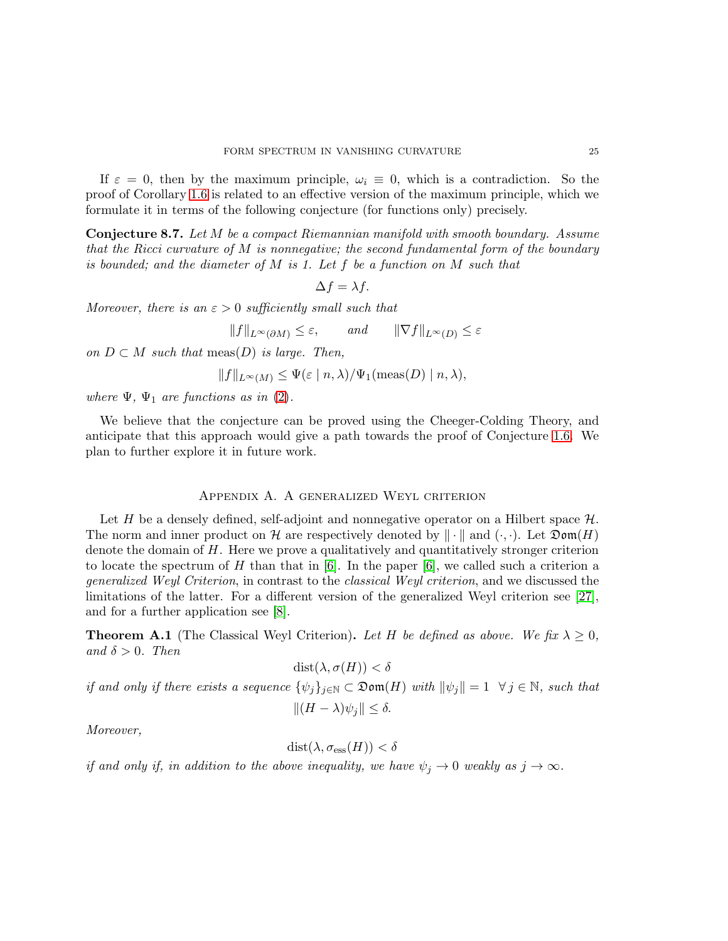If  $\varepsilon = 0$ , then by the maximum principle,  $\omega_i \equiv 0$ , which is a contradiction. So the proof of Corollary [1.6](#page-2-2) is related to an effective version of the maximum principle, which we formulate it in terms of the following conjecture (for functions only) precisely.

Conjecture 8.7. Let M be a compact Riemannian manifold with smooth boundary. Assume that the Ricci curvature of  $M$  is nonnegative; the second fundamental form of the boundary is bounded; and the diameter of  $M$  is 1. Let  $f$  be a function on  $M$  such that

$$
\Delta f = \lambda f.
$$

Moreover, there is an  $\varepsilon > 0$  sufficiently small such that

 $||f||_{L^{\infty}(\partial M)} \leq \varepsilon$ , and  $||\nabla f||_{L^{\infty}(D)} \leq \varepsilon$ 

on  $D \subset M$  such that meas(D) is large. Then,

$$
||f||_{L^{\infty}(M)} \leq \Psi(\varepsilon \mid n, \lambda) / \Psi_1(\text{meas}(D) \mid n, \lambda),
$$

where  $\Psi$ ,  $\Psi_1$  are functions as in [\(2\)](#page-3-0).

We believe that the conjecture can be proved using the Cheeger-Colding Theory, and anticipate that this approach would give a path towards the proof of Conjecture [1.6.](#page-2-2) We plan to further explore it in future work.

## Appendix A. A generalized Weyl criterion

Let H be a densely defined, self-adjoint and nonnegative operator on a Hilbert space  $\mathcal{H}$ . The norm and inner product on H are respectively denoted by  $\|\cdot\|$  and  $(\cdot, \cdot)$ . Let  $\mathfrak{Dom}(H)$ denote the domain of  $H$ . Here we prove a qualitatively and quantitatively stronger criterion to locate the spectrum of H than that in  $[6]$ . In the paper  $[6]$ , we called such a criterion a generalized Weyl Criterion, in contrast to the classical Weyl criterion, and we discussed the limitations of the latter. For a different version of the generalized Weyl criterion see [\[27\]](#page-29-17), and for a further application see [\[8\]](#page-28-9).

**Theorem A.1** (The Classical Weyl Criterion). Let H be defined as above. We fix  $\lambda \geq 0$ , and  $\delta > 0$ . Then

$$
dist(\lambda, \sigma(H)) < \delta
$$

if and only if there exists a sequence  $\{\psi_j\}_{j\in\mathbb{N}}\subset \mathfrak{Dom}(H)$  with  $\|\psi_j\|=1$   $\forall j\in\mathbb{N}$ , such that

$$
||(H - \lambda)\psi_j|| \le \delta.
$$

Moreover,

$$
dist(\lambda, \sigma_{\rm ess}(H)) < \delta
$$

if and only if, in addition to the above inequality, we have  $\psi_j \to 0$  weakly as  $j \to \infty$ .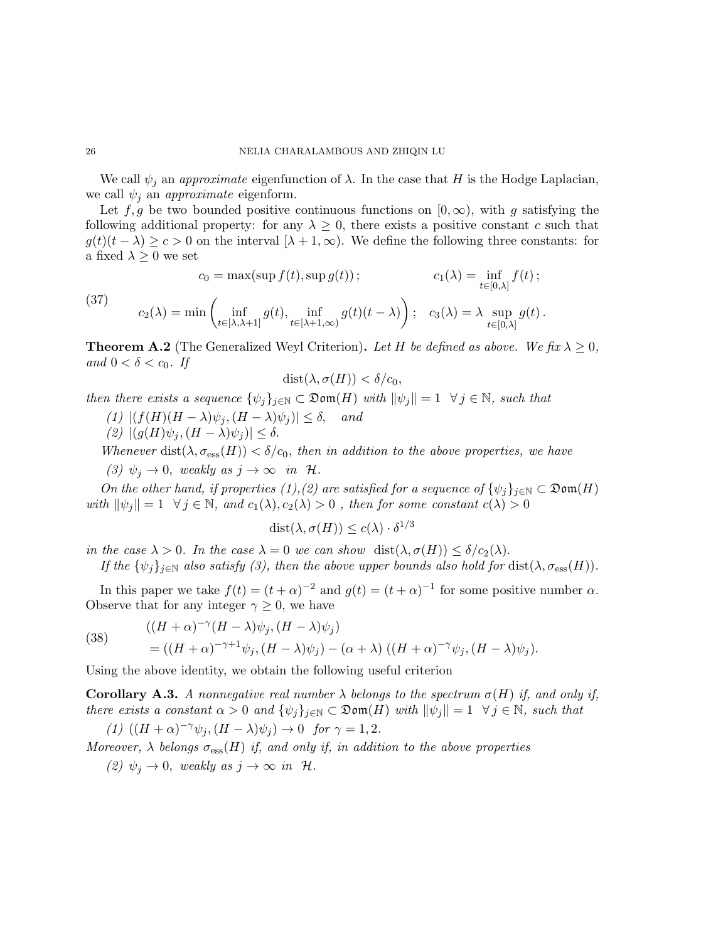We call  $\psi_j$  an *approximate* eigenfunction of  $\lambda$ . In the case that H is the Hodge Laplacian, we call  $\psi_i$  an *approximate* eigenform.

Let f, g be two bounded positive continuous functions on  $[0, \infty)$ , with g satisfying the following additional property: for any  $\lambda \geq 0$ , there exists a positive constant c such that  $g(t)(t - \lambda) \geq c > 0$  on the interval  $[\lambda + 1, \infty)$ . We define the following three constants: for a fixed  $\lambda \geq 0$  we set

(37) 
$$
c_0 = \max(\sup f(t), \sup g(t)); \qquad c_1(\lambda) = \inf_{t \in [0,\lambda]} f(t);
$$

$$
c_2(\lambda) = \min \left( \inf_{t \in [\lambda, \lambda+1]} g(t), \inf_{t \in [\lambda+1,\infty)} g(t)(t-\lambda) \right); \quad c_3(\lambda) = \lambda \sup_{t \in [0,\lambda]} g(t).
$$

<span id="page-25-0"></span>**Theorem A.2** (The Generalized Weyl Criterion). Let H be defined as above. We fix  $\lambda \geq 0$ , and  $0 < \delta < c_0$ . If

$$
dist(\lambda, \sigma(H)) < \delta/c_0,
$$

then there exists a sequence  $\{\psi_j\}_{j\in\mathbb{N}} \subset \mathfrak{Dom}(H)$  with  $\|\psi_j\| = 1 \ \ \forall j \in \mathbb{N}$ , such that

- (1)  $|(f(H)(H \lambda)\psi_i, (H \lambda)\psi_i)| \leq \delta$ , and
- (2)  $|(g(H)\psi_i,(H-\lambda)\psi_i)| \leq \delta$ .

Whenever dist( $\lambda, \sigma_{\rm ess}(H)$ )  $< \delta/c_0$ , then in addition to the above properties, we have

(3)  $\psi_j \to 0$ , weakly as  $j \to \infty$  in H.

On the other hand, if properties (1),(2) are satisfied for a sequence of  $\{\psi_j\}_{j\in\mathbb{N}}\subset\mathfrak{Dom}(H)$ with  $\|\psi_i\| = 1 \ \forall j \in \mathbb{N}$ , and  $c_1(\lambda), c_2(\lambda) > 0$ , then for some constant  $c(\lambda) > 0$ 

$$
dist(\lambda, \sigma(H)) \leq c(\lambda) \cdot \delta^{1/3}
$$

in the case  $\lambda > 0$ . In the case  $\lambda = 0$  we can show  $dist(\lambda, \sigma(H)) \leq \delta/c_2(\lambda)$ .

If the  $\{\psi_i\}_{i\in\mathbb{N}}$  also satisfy (3), then the above upper bounds also hold for  $dist(\lambda, \sigma_{\text{ess}}(H))$ .

In this paper we take  $f(t) = (t + \alpha)^{-2}$  and  $g(t) = (t + \alpha)^{-1}$  for some positive number  $\alpha$ . Observe that for any integer  $\gamma \geq 0$ , we have

 $((H+\alpha)^{-\gamma}(H-\lambda)\psi_j,(H-\lambda)\psi_j)$ (38)

$$
= ((H+\alpha)^{-\gamma+1}\psi_j,(H-\lambda)\psi_j)-(\alpha+\lambda) ((H+\alpha)^{-\gamma}\psi_j,(H-\lambda)\psi_j).
$$

Using the above identity, we obtain the following useful criterion

<span id="page-25-1"></span>**Corollary A.3.** A nonnegative real number  $\lambda$  belongs to the spectrum  $\sigma(H)$  if, and only if, there exists a constant  $\alpha > 0$  and  $\{\psi_j\}_{j \in \mathbb{N}} \subset \mathfrak{Dom}(H)$  with  $\|\psi_j\| = 1 \ \ \forall j \in \mathbb{N}$ , such that

$$
(1) ((H + \alpha)^{-\gamma} \psi_j, (H - \lambda)\psi_j) \to 0 \text{ for } \gamma = 1, 2.
$$

Moreover,  $\lambda$  belongs  $\sigma_{\rm ess}(H)$  if, and only if, in addition to the above properties

(2)  $\psi_j \to 0$ , weakly as  $j \to \infty$  in H.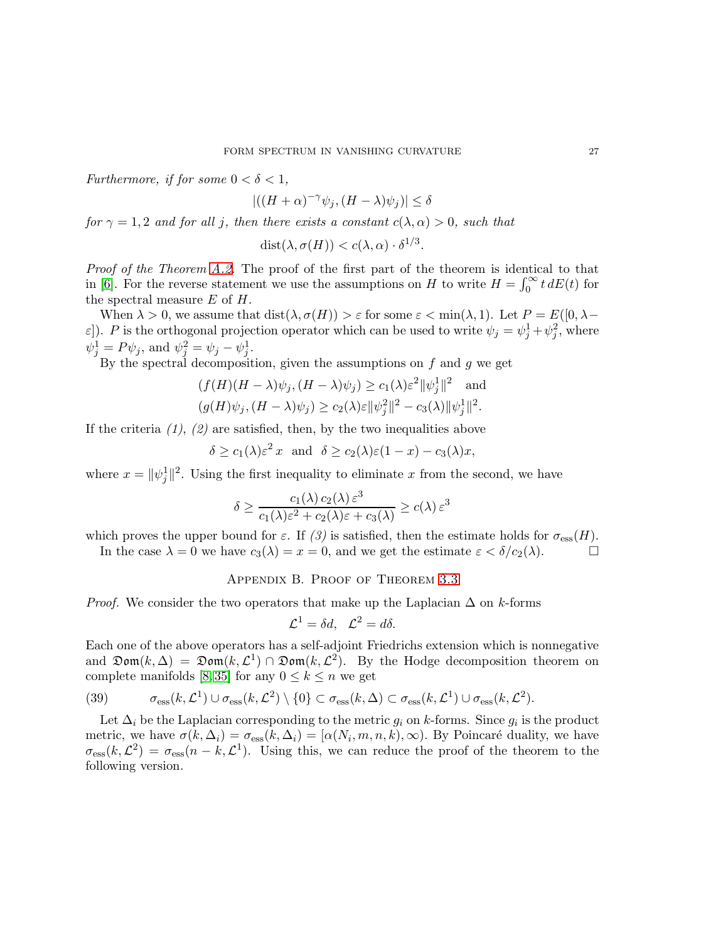Furthermore, if for some  $0 < \delta < 1$ ,

 $|((H+\alpha)^{-\gamma}\psi_j,(H-\lambda)\psi_j)| \leq \delta$ 

for  $\gamma = 1, 2$  and for all j, then there exists a constant  $c(\lambda, \alpha) > 0$ , such that

$$
dist(\lambda, \sigma(H)) < c(\lambda, \alpha) \cdot \delta^{1/3}.
$$

Proof of the Theorem [A.2.](#page-25-0) The proof of the first part of the theorem is identical to that in [\[6\]](#page-28-13). For the reverse statement we use the assumptions on H to write  $H = \int_0^\infty t \, dE(t)$  for the spectral measure  $E$  of  $H$ .

When  $\lambda > 0$ , we assume that  $dist(\lambda, \sigma(H)) > \varepsilon$  for some  $\varepsilon < \min(\lambda, 1)$ . Let  $P = E([0, \lambda \varepsilon$ ]). P is the orthogonal projection operator which can be used to write  $\psi_j = \psi_j^1 + \psi_j^2$ , where  $\psi_j^1 = P \psi_j$ , and  $\psi_j^2 = \psi_j - \psi_j^1$ .

By the spectral decomposition, given the assumptions on  $f$  and  $g$  we get

$$
(f(H)(H - \lambda)\psi_j, (H - \lambda)\psi_j) \ge c_1(\lambda)\varepsilon^2 \|\psi_j^1\|^2 \text{ and}
$$
  

$$
(g(H)\psi_j, (H - \lambda)\psi_j) \ge c_2(\lambda)\varepsilon \|\psi_j^2\|^2 - c_3(\lambda)\|\psi_j^1\|^2.
$$

If the criteria  $(1)$ ,  $(2)$  are satisfied, then, by the two inequalities above

$$
\delta \ge c_1(\lambda) \varepsilon^2 x
$$
 and  $\delta \ge c_2(\lambda) \varepsilon (1-x) - c_3(\lambda) x$ ,

where  $x = ||\psi_j||^2$ . Using the first inequality to eliminate x from the second, we have

$$
\delta \ge \frac{c_1(\lambda) c_2(\lambda) \varepsilon^3}{c_1(\lambda) \varepsilon^2 + c_2(\lambda) \varepsilon + c_3(\lambda)} \ge c(\lambda) \varepsilon^3
$$

which proves the upper bound for  $\varepsilon$ . If (3) is satisfied, then the estimate holds for  $\sigma_{\text{ess}}(H)$ .

In the case  $\lambda = 0$  we have  $c_3(\lambda) = x = 0$ , and we get the estimate  $\varepsilon < \delta/c_2(\lambda)$ .

## Appendix B. Proof of Theorem [3.3](#page-7-1)

*Proof.* We consider the two operators that make up the Laplacian  $\Delta$  on k-forms

$$
\mathcal{L}^1 = \delta d, \quad \mathcal{L}^2 = d\delta.
$$

Each one of the above operators has a self-adjoint Friedrichs extension which is nonnegative and  $\mathfrak{Dom}(k,\Delta) = \mathfrak{Dom}(k,\mathcal{L}^1) \cap \mathfrak{Dom}(k,\mathcal{L}^2)$ . By the Hodge decomposition theorem on complete manifolds [\[8,](#page-28-9)35] for any  $0 \leq k \leq n$  we get

<span id="page-26-0"></span>(39) 
$$
\sigma_{\rm ess}(k,\mathcal{L}^1) \cup \sigma_{\rm ess}(k,\mathcal{L}^2) \setminus \{0\} \subset \sigma_{\rm ess}(k,\Delta) \subset \sigma_{\rm ess}(k,\mathcal{L}^1) \cup \sigma_{\rm ess}(k,\mathcal{L}^2).
$$

Let  $\Delta_i$  be the Laplacian corresponding to the metric  $g_i$  on k-forms. Since  $g_i$  is the product metric, we have  $\sigma(k, \Delta_i) = \sigma_{\text{ess}}(k, \Delta_i) = [\alpha(N_i, m, n, k), \infty)$ . By Poincaré duality, we have  $\sigma_{\rm ess}(k,\mathcal{L}^2) = \sigma_{\rm ess}(n-k,\mathcal{L}^1)$ . Using this, we can reduce the proof of the theorem to the following version.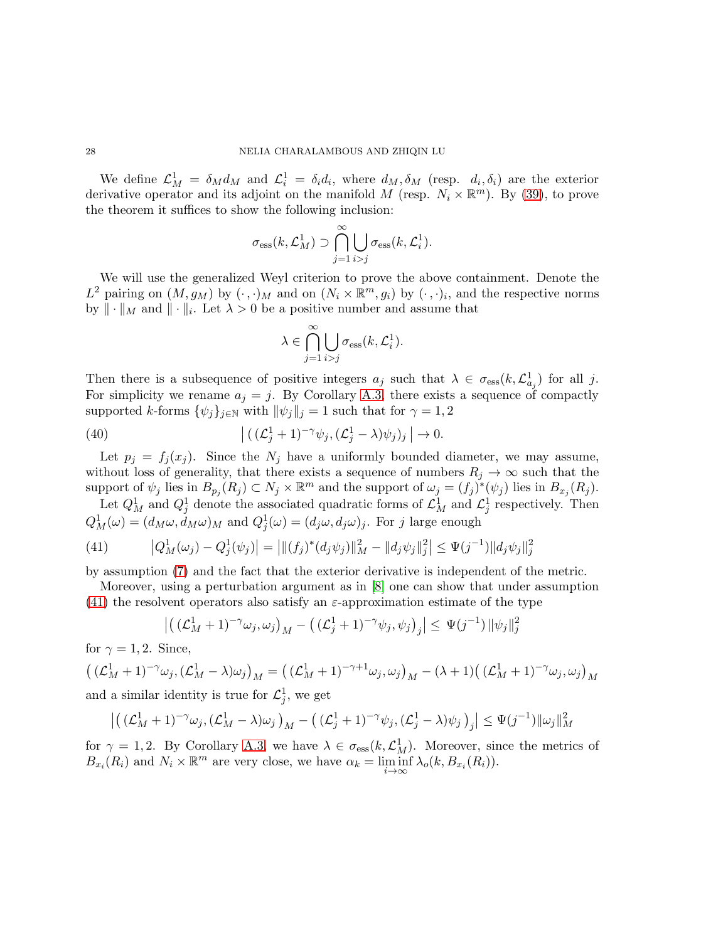We define  $\mathcal{L}_M^1 = \delta_M d_M$  and  $\mathcal{L}_i^1 = \delta_i d_i$ , where  $d_M, \delta_M$  (resp.  $d_i, \delta_i$ ) are the exterior derivative operator and its adjoint on the manifold M (resp.  $N_i \times \mathbb{R}^m$ ). By [\(39\)](#page-26-0), to prove the theorem it suffices to show the following inclusion:

$$
\sigma_{\text{ess}}(k, \mathcal{L}_M^1) \supset \bigcap_{j=1}^{\infty} \bigcup_{i > j} \sigma_{\text{ess}}(k, \mathcal{L}_i^1).
$$

We will use the generalized Weyl criterion to prove the above containment. Denote the  $L^2$  pairing on  $(M, g_M)$  by  $(\cdot, \cdot)_M$  and on  $(N_i \times \mathbb{R}^m, g_i)$  by  $(\cdot, \cdot)_i$ , and the respective norms by  $\|\cdot\|_M$  and  $\|\cdot\|_i$ . Let  $\lambda > 0$  be a positive number and assume that

$$
\lambda \in \bigcap_{j=1}^{\infty} \bigcup_{i>j} \sigma_{\text{ess}}(k, \mathcal{L}_i^1).
$$

Then there is a subsequence of positive integers  $a_j$  such that  $\lambda \in \sigma_{\text{ess}}(k, \mathcal{L}^1_{a_j})$  for all j. For simplicity we rename  $a_j = j$ . By Corollary [A.3,](#page-25-1) there exists a sequence of compactly supported k-forms  $\{\psi_j\}_{j\in\mathbb{N}}$  with  $\|\psi_j\|_j = 1$  such that for  $\gamma = 1, 2$ 

(40) 
$$
\left| \left( \left( \mathcal{L}_j^1 + 1 \right)^{-\gamma} \psi_j, \left( \mathcal{L}_j^1 - \lambda \right) \psi_j \right)_j \right| \to 0.
$$

Let  $p_j = f_j(x_j)$ . Since the  $N_j$  have a uniformly bounded diameter, we may assume, without loss of generality, that there exists a sequence of numbers  $R_j \to \infty$  such that the support of  $\psi_j$  lies in  $B_{p_j}(R_j) \subset N_j \times \mathbb{R}^m$  and the support of  $\omega_j = (f_j)^*(\psi_j)$  lies in  $B_{x_j}(R_j)$ .

Let  $Q_M^1$  and  $Q_j^1$  denote the associated quadratic forms of  $\mathcal{L}_M^1$  and  $\mathcal{L}_j^1$  respectively. Then  $Q_M^1(\omega) = (d_M \omega, d_M \omega)_M$  and  $Q_j^1(\omega) = (d_j \omega, d_j \omega)_j$ . For j large enough

<span id="page-27-0"></span>(41) 
$$
\left|Q_M^1(\omega_j) - Q_j^1(\psi_j)\right| = \left|\|(f_j)^*(d_j\psi_j)\|_M^2 - \|d_j\psi_j\|_j^2\right| \leq \Psi(j^{-1})\|d_j\psi_j\|_j^2
$$

by assumption [\(7\)](#page-7-2) and the fact that the exterior derivative is independent of the metric.

Moreover, using a perturbation argument as in [\[8\]](#page-28-9) one can show that under assumption [\(41\)](#page-27-0) the resolvent operators also satisfy an  $\varepsilon$ -approximation estimate of the type

$$
\left| \left( \left( \mathcal{L}_M^1 + 1 \right)^{-\gamma} \omega_j, \omega_j \right)_M - \left( \left( \mathcal{L}_j^1 + 1 \right)^{-\gamma} \psi_j, \psi_j \right)_j \right| \leq \Psi(j^{-1}) \left\| \psi_j \right\|_j^2
$$

for  $\gamma = 1, 2$ . Since,

$$
\left( (\mathcal{L}_M^1 + 1)^{-\gamma} \omega_j, (\mathcal{L}_M^1 - \lambda) \omega_j \right)_M = \left( (\mathcal{L}_M^1 + 1)^{-\gamma + 1} \omega_j, \omega_j \right)_M - (\lambda + 1) \left( (\mathcal{L}_M^1 + 1)^{-\gamma} \omega_j, \omega_j \right)_M
$$

and a similar identity is true for  $\mathcal{L}_j^1$ , we get

$$
\left| \left( (\mathcal{L}_M^1 + 1)^{-\gamma} \omega_j, (\mathcal{L}_M^1 - \lambda) \omega_j \right)_M - \left( (\mathcal{L}_j^1 + 1)^{-\gamma} \psi_j, (\mathcal{L}_j^1 - \lambda) \psi_j \right)_j \right| \leq \Psi(j^{-1}) \|\omega_j\|_M^2
$$

for  $\gamma = 1, 2$ . By Corollary [A.3,](#page-25-1) we have  $\lambda \in \sigma_{\text{ess}}(k, \mathcal{L}_M^1)$ . Moreover, since the metrics of  $B_{x_i}(R_i)$  and  $N_i \times \mathbb{R}^m$  are very close, we have  $\alpha_k = \liminf_{i \to \infty} \lambda_o(k, B_{x_i}(R_i)).$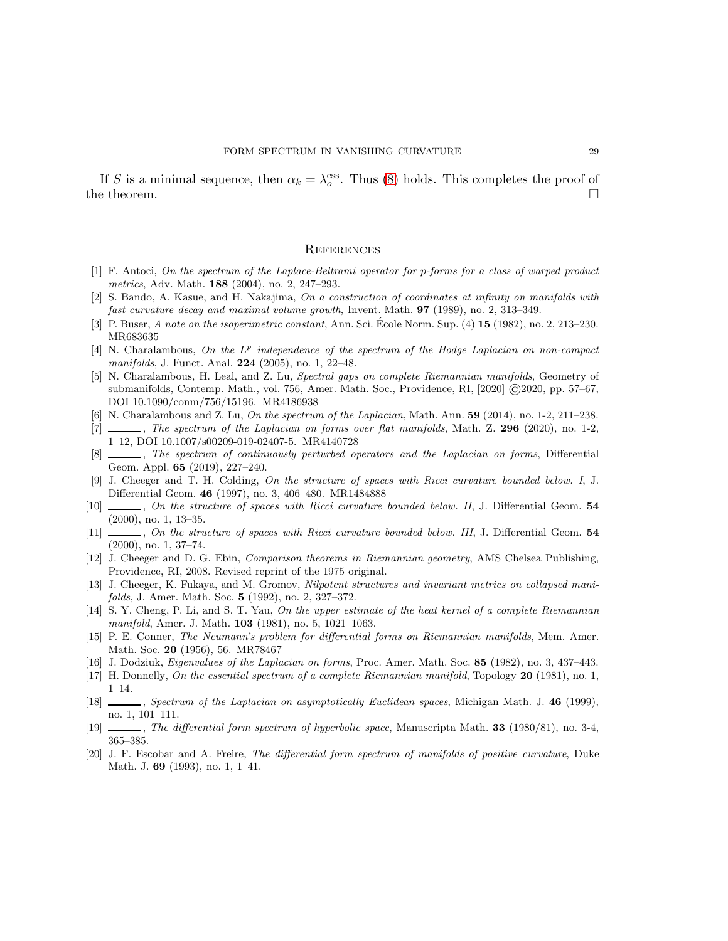If S is a minimal sequence, then  $\alpha_k = \lambda_o^{\text{ess}}$ . Thus [\(8\)](#page-7-3) holds. This completes the proof of the theorem.  $\Box$ 

#### **REFERENCES**

- <span id="page-28-0"></span>[1] F. Antoci, On the spectrum of the Laplace-Beltrami operator for p-forms for a class of warped product metrics, Adv. Math. 188 (2004), no. 2, 247–293.
- <span id="page-28-3"></span>[2] S. Bando, A. Kasue, and H. Nakajima, On a construction of coordinates at infinity on manifolds with fast curvature decay and maximal volume growth, Invent. Math. 97 (1989), no. 2, 313–349.
- [3] P. Buser, A note on the isoperimetric constant, Ann. Sci. École Norm. Sup.  $(4)$  15  $(1982)$ , no. 2, 213–230. MR683635
- <span id="page-28-1"></span>[4] N. Charalambous, On the  $L^p$  independence of the spectrum of the Hodge Laplacian on non-compact manifolds, J. Funct. Anal. **224** (2005), no. 1, 22–48.
- <span id="page-28-6"></span>[5] N. Charalambous, H. Leal, and Z. Lu, Spectral gaps on complete Riemannian manifolds, Geometry of submanifolds, Contemp. Math., vol. 756, Amer. Math. Soc., Providence, RI, [2020] ©2020, pp. 57–67, DOI 10.1090/conm/756/15196. MR4186938
- <span id="page-28-13"></span>[6] N. Charalambous and Z. Lu, On the spectrum of the Laplacian, Math. Ann.  $59$  (2014), no. 1-2, 211–238.
- <span id="page-28-11"></span>[7] , The spectrum of the Laplacian on forms over flat manifolds, Math. Z. 296 (2020), no. 1-2, 1–12, DOI 10.1007/s00209-019-02407-5. MR4140728
- <span id="page-28-9"></span>[8] , The spectrum of continuously perturbed operators and the Laplacian on forms, Differential Geom. Appl. 65 (2019), 227–240.
- [9] J. Cheeger and T. H. Colding, On the structure of spaces with Ricci curvature bounded below. I, J. Differential Geom. 46 (1997), no. 3, 406–480. MR1484888
- <span id="page-28-10"></span>[10]  $\ldots$ , On the structure of spaces with Ricci curvature bounded below. II, J. Differential Geom. 54 (2000), no. 1, 13–35.
- <span id="page-28-7"></span>[11]  $\ldots$ , On the structure of spaces with Ricci curvature bounded below. III, J. Differential Geom. 54 (2000), no. 1, 37–74.
- [12] J. Cheeger and D. G. Ebin, Comparison theorems in Riemannian geometry, AMS Chelsea Publishing, Providence, RI, 2008. Revised reprint of the 1975 original.
- <span id="page-28-12"></span>[13] J. Cheeger, K. Fukaya, and M. Gromov, Nilpotent structures and invariant metrics on collapsed manifolds, J. Amer. Math. Soc. 5 (1992), no. 2, 327–372.
- [14] S. Y. Cheng, P. Li, and S. T. Yau, On the upper estimate of the heat kernel of a complete Riemannian manifold, Amer. J. Math. **103** (1981), no. 5, 1021–1063.
- [15] P. E. Conner, The Neumann's problem for differential forms on Riemannian manifolds, Mem. Amer. Math. Soc. 20 (1956), 56. MR78467
- <span id="page-28-8"></span>[16] J. Dodziuk, Eigenvalues of the Laplacian on forms, Proc. Amer. Math. Soc. 85 (1982), no. 3, 437–443.
- <span id="page-28-4"></span>[17] H. Donnelly, On the essential spectrum of a complete Riemannian manifold, Topology 20 (1981), no. 1, 1–14.
- <span id="page-28-5"></span>[18] Spectrum of the Laplacian on asymptotically Euclidean spaces, Michigan Math. J. 46 (1999), no. 1, 101–111.
- <span id="page-28-14"></span>[19] , The differential form spectrum of hyperbolic space, Manuscripta Math. 33 (1980/81), no. 3-4, 365–385.
- <span id="page-28-2"></span>[20] J. F. Escobar and A. Freire, The differential form spectrum of manifolds of positive curvature, Duke Math. J. 69 (1993), no. 1, 1–41.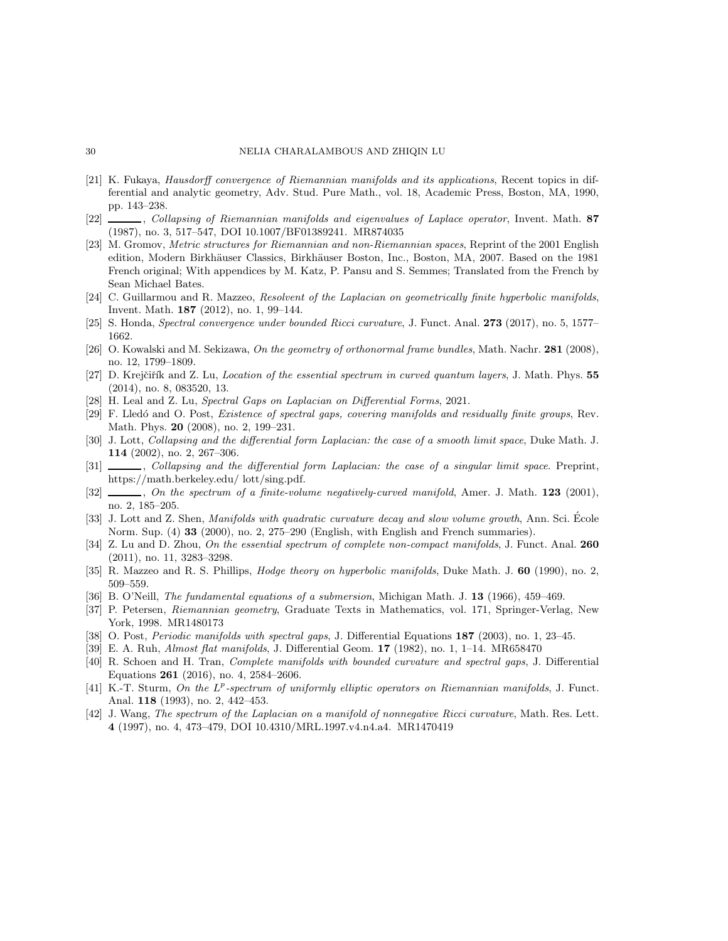#### 30 NELIA CHARALAMBOUS AND ZHIQIN LU

- <span id="page-29-11"></span>[21] K. Fukaya, Hausdorff convergence of Riemannian manifolds and its applications, Recent topics in differential and analytic geometry, Adv. Stud. Pure Math., vol. 18, Academic Press, Boston, MA, 1990, pp. 143–238.
- <span id="page-29-6"></span>[22] Collapsing of Riemannian manifolds and eigenvalues of Laplace operator, Invent. Math. 87 (1987), no. 3, 517–547, DOI 10.1007/BF01389241. MR874035
- <span id="page-29-12"></span>[23] M. Gromov, Metric structures for Riemannian and non-Riemannian spaces, Reprint of the 2001 English edition, Modern Birkhäuser Classics, Birkhäuser Boston, Inc., Boston, MA, 2007. Based on the 1981 French original; With appendices by M. Katz, P. Pansu and S. Semmes; Translated from the French by Sean Michael Bates.
- [24] C. Guillarmou and R. Mazzeo, Resolvent of the Laplacian on geometrically finite hyperbolic manifolds, Invent. Math. 187 (2012), no. 1, 99–144.
- <span id="page-29-9"></span>[25] S. Honda, Spectral convergence under bounded Ricci curvature, J. Funct. Anal. 273 (2017), no. 5, 1577– 1662.
- <span id="page-29-10"></span>[26] O. Kowalski and M. Sekizawa, On the geometry of orthonormal frame bundles, Math. Nachr. 281 (2008), no. 12, 1799–1809.
- <span id="page-29-17"></span>[27] D. Krejčiřík and Z. Lu, Location of the essential spectrum in curved quantum layers, J. Math. Phys. 55 (2014), no. 8, 083520, 13.
- <span id="page-29-5"></span>[28] H. Leal and Z. Lu, Spectral Gaps on Laplacian on Differential Forms, 2021.
- <span id="page-29-1"></span>[29] F. Lled´o and O. Post, Existence of spectral gaps, covering manifolds and residually finite groups, Rev. Math. Phys. 20 (2008), no. 2, 199–231.
- <span id="page-29-7"></span>[30] J. Lott, Collapsing and the differential form Laplacian: the case of a smooth limit space, Duke Math. J. 114 (2002), no. 2, 267–306.
- <span id="page-29-8"></span>[31] Collapsing and the differential form Laplacian: the case of a singular limit space. Preprint, https://math.berkeley.edu/ lott/sing.pdf.
- <span id="page-29-2"></span>[32]  $\ldots$ , On the spectrum of a finite-volume negatively-curved manifold, Amer. J. Math. 123 (2001), no. 2, 185–205.
- <span id="page-29-0"></span>[33] J. Lott and Z. Shen, Manifolds with quadratic curvature decay and slow volume growth, Ann. Sci. Ecole Norm. Sup. (4) 33 (2000), no. 2, 275–290 (English, with English and French summaries).
- <span id="page-29-13"></span>[34] Z. Lu and D. Zhou, On the essential spectrum of complete non-compact manifolds, J. Funct. Anal. 260 (2011), no. 11, 3283–3298.
- <span id="page-29-18"></span>[35] R. Mazzeo and R. S. Phillips, *Hodge theory on hyperbolic manifolds*, Duke Math. J. 60 (1990), no. 2, 509–559.
- [36] B. O'Neill, The fundamental equations of a submersion, Michigan Math. J. 13 (1966), 459–469.
- <span id="page-29-15"></span>[37] P. Petersen, Riemannian geometry, Graduate Texts in Mathematics, vol. 171, Springer-Verlag, New York, 1998. MR1480173
- <span id="page-29-3"></span>[38] O. Post, *Periodic manifolds with spectral gaps*, J. Differential Equations **187** (2003), no. 1, 23–45.
- [39] E. A. Ruh, Almost flat manifolds, J. Differential Geom. 17 (1982), no. 1, 1–14. MR658470
- <span id="page-29-4"></span>[40] R. Schoen and H. Tran, Complete manifolds with bounded curvature and spectral gaps, J. Differential Equations 261 (2016), no. 4, 2584–2606.
- <span id="page-29-14"></span>[41] K.-T. Sturm, On the L<sup>p</sup>-spectrum of uniformly elliptic operators on Riemannian manifolds, J. Funct. Anal. 118 (1993), no. 2, 442–453.
- <span id="page-29-16"></span>[42] J. Wang, The spectrum of the Laplacian on a manifold of nonnegative Ricci curvature, Math. Res. Lett. 4 (1997), no. 4, 473–479, DOI 10.4310/MRL.1997.v4.n4.a4. MR1470419